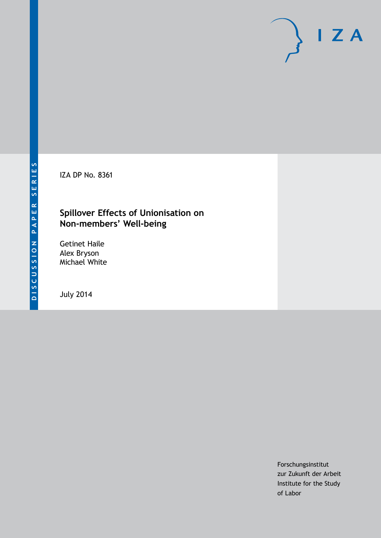IZA DP No. 8361

## **Spillover Effects of Unionisation on Non-members' Well-being**

Getinet Haile Alex Bryson Michael White

July 2014

Forschungsinstitut zur Zukunft der Arbeit Institute for the Study of Labor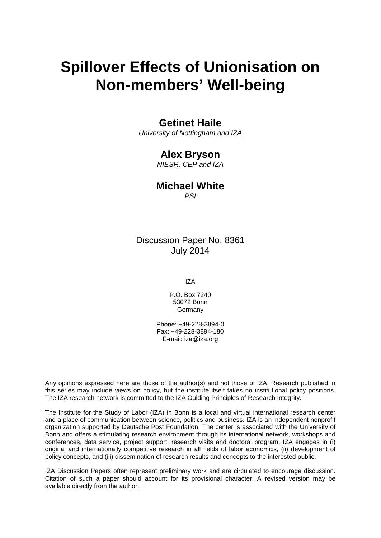# **Spillover Effects of Unionisation on Non-members' Well-being**

## **Getinet Haile**

*University of Nottingham and IZA*

## **Alex Bryson**

*NIESR, CEP and IZA*

## **Michael White**

*PSI*

## Discussion Paper No. 8361 July 2014

IZA

P.O. Box 7240 53072 Bonn Germany

Phone: +49-228-3894-0 Fax: +49-228-3894-180 E-mail: [iza@iza.org](mailto:iza@iza.org)

Any opinions expressed here are those of the author(s) and not those of IZA. Research published in this series may include views on policy, but the institute itself takes no institutional policy positions. The IZA research network is committed to the IZA Guiding Principles of Research Integrity.

The Institute for the Study of Labor (IZA) in Bonn is a local and virtual international research center and a place of communication between science, politics and business. IZA is an independent nonprofit organization supported by Deutsche Post Foundation. The center is associated with the University of Bonn and offers a stimulating research environment through its international network, workshops and conferences, data service, project support, research visits and doctoral program. IZA engages in (i) original and internationally competitive research in all fields of labor economics, (ii) development of policy concepts, and (iii) dissemination of research results and concepts to the interested public.

<span id="page-1-0"></span>IZA Discussion Papers often represent preliminary work and are circulated to encourage discussion. Citation of such a paper should account for its provisional character. A revised version may be available directly from the author.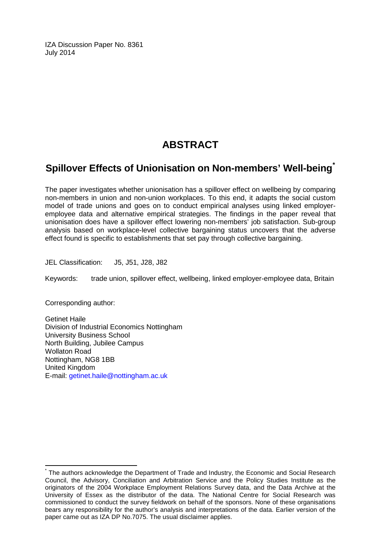IZA Discussion Paper No. 8361 July 2014

## **ABSTRACT**

## **Spillover Effects of Unionisation on Non-members' Well-being[\\*](#page-1-0)**

The paper investigates whether unionisation has a spillover effect on wellbeing by comparing non-members in union and non-union workplaces. To this end, it adapts the social custom model of trade unions and goes on to conduct empirical analyses using linked employeremployee data and alternative empirical strategies. The findings in the paper reveal that unionisation does have a spillover effect lowering non-members' job satisfaction. Sub-group analysis based on workplace-level collective bargaining status uncovers that the adverse effect found is specific to establishments that set pay through collective bargaining.

JEL Classification: J5, J51, J28, J82

Keywords: trade union, spillover effect, wellbeing, linked employer-employee data, Britain

Corresponding author:

Getinet Haile Division of Industrial Economics Nottingham University Business School North Building, Jubilee Campus Wollaton Road Nottingham, NG8 1BB United Kingdom E-mail: [getinet.haile@nottingham.ac.uk](mailto:getinet.haile@nottingham.ac.uk)

The authors acknowledge the Department of Trade and Industry, the Economic and Social Research Council, the Advisory, Conciliation and Arbitration Service and the Policy Studies Institute as the originators of the 2004 Workplace Employment Relations Survey data, and the Data Archive at the University of Essex as the distributor of the data. The National Centre for Social Research was commissioned to conduct the survey fieldwork on behalf of the sponsors. None of these organisations bears any responsibility for the author's analysis and interpretations of the data. Earlier version of the paper came out as IZA DP No.7075. The usual disclaimer applies.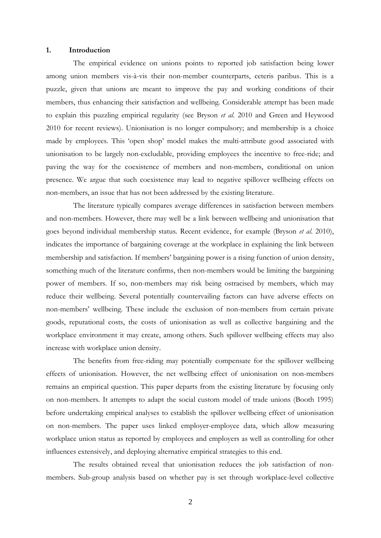### **1. Introduction**

The empirical evidence on unions points to reported job satisfaction being lower among union members vis-à-vis their non-member counterparts, ceteris paribus. This is a puzzle, given that unions are meant to improve the pay and working conditions of their members, thus enhancing their satisfaction and wellbeing. Considerable attempt has been made to explain this puzzling empirical regularity (see Bryson *et al*. 2010 and Green and Heywood 2010 for recent reviews). Unionisation is no longer compulsory; and membership is a choice made by employees. This 'open shop' model makes the multi-attribute good associated with unionisation to be largely non-excludable, providing employees the incentive to free-ride; and paving the way for the coexistence of members and non-members, conditional on union presence. We argue that such coexistence may lead to negative spillover wellbeing effects on non-members, an issue that has not been addressed by the existing literature.

The literature typically compares average differences in satisfaction between members and non-members. However, there may well be a link between wellbeing and unionisation that goes beyond individual membership status. Recent evidence, for example (Bryson *et al*. 2010), indicates the importance of bargaining coverage at the workplace in explaining the link between membership and satisfaction. If members' bargaining power is a rising function of union density, something much of the literature confirms, then non-members would be limiting the bargaining power of members. If so, non-members may risk being ostracised by members, which may reduce their wellbeing. Several potentially countervailing factors can have adverse effects on non-members' wellbeing. These include the exclusion of non-members from certain private goods, reputational costs, the costs of unionisation as well as collective bargaining and the workplace environment it may create, among others. Such spillover wellbeing effects may also increase with workplace union density.

The benefits from free-riding may potentially compensate for the spillover wellbeing effects of unionisation. However, the net wellbeing effect of unionisation on non-members remains an empirical question. This paper departs from the existing literature by focusing only on non-members. It attempts to adapt the social custom model of trade unions (Booth 1995) before undertaking empirical analyses to establish the spillover wellbeing effect of unionisation on non-members. The paper uses linked employer-employee data, which allow measuring workplace union status as reported by employees and employers as well as controlling for other influences extensively, and deploying alternative empirical strategies to this end.

The results obtained reveal that unionisation reduces the job satisfaction of nonmembers. Sub-group analysis based on whether pay is set through workplace-level collective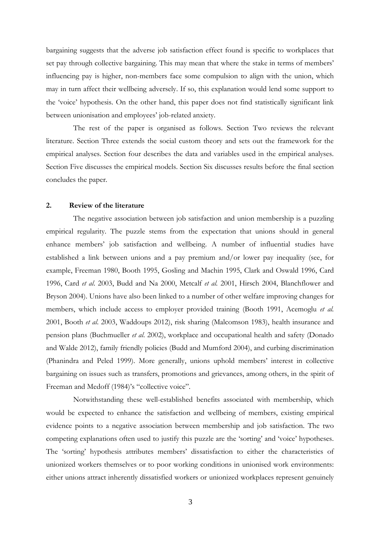bargaining suggests that the adverse job satisfaction effect found is specific to workplaces that set pay through collective bargaining. This may mean that where the stake in terms of members' influencing pay is higher, non-members face some compulsion to align with the union, which may in turn affect their wellbeing adversely. If so, this explanation would lend some support to the 'voice' hypothesis. On the other hand, this paper does not find statistically significant link between unionisation and employees' job-related anxiety.

The rest of the paper is organised as follows. Section Two reviews the relevant literature. Section Three extends the social custom theory and sets out the framework for the empirical analyses. Section four describes the data and variables used in the empirical analyses. Section Five discusses the empirical models. Section Six discusses results before the final section concludes the paper.

## **2. Review of the literature**

The negative association between job satisfaction and union membership is a puzzling empirical regularity. The puzzle stems from the expectation that unions should in general enhance members' job satisfaction and wellbeing. A number of influential studies have established a link between unions and a pay premium and/or lower pay inequality (see, for example, Freeman 1980, Booth 1995, Gosling and Machin 1995, Clark and Oswald 1996, Card 1996, Card *et al*. 2003, Budd and Na 2000, Metcalf *et al.* 2001, Hirsch 2004, Blanchflower and Bryson 2004). Unions have also been linked to a number of other welfare improving changes for members, which include access to employer provided training (Booth 1991, Acemoglu *et al.* 2001, Booth *et al*. 2003, Waddoups 2012), risk sharing (Malcomson 1983), health insurance and pension plans (Buchmueller *et al*. 2002), workplace and occupational health and safety (Donado and Walde 2012), family friendly policies (Budd and Mumford 2004), and curbing discrimination (Phanindra and Peled 1999). More generally, unions uphold members' interest in collective bargaining on issues such as transfers, promotions and grievances, among others, in the spirit of Freeman and Medoff (1984)'s "collective voice".

Notwithstanding these well-established benefits associated with membership, which would be expected to enhance the satisfaction and wellbeing of members, existing empirical evidence points to a negative association between membership and job satisfaction. The two competing explanations often used to justify this puzzle are the 'sorting' and 'voice' hypotheses. The 'sorting' hypothesis attributes members' dissatisfaction to either the characteristics of unionized workers themselves or to poor working conditions in unionised work environments: either unions attract inherently dissatisfied workers or unionized workplaces represent genuinely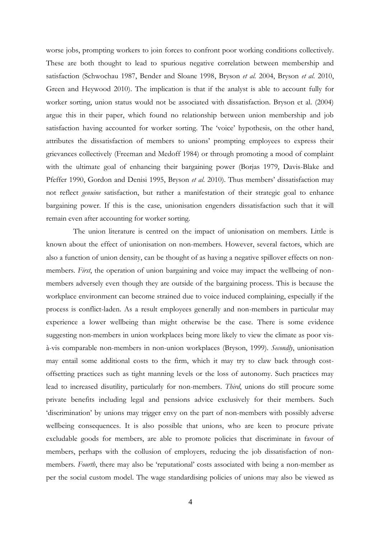worse jobs, prompting workers to join forces to confront poor working conditions collectively. These are both thought to lead to spurious negative correlation between membership and satisfaction (Schwochau 1987, Bender and Sloane 1998, Bryson *et al.* 2004, Bryson *et al*. 2010, Green and Heywood 2010). The implication is that if the analyst is able to account fully for worker sorting, union status would not be associated with dissatisfaction. Bryson et al. (2004) argue this in their paper, which found no relationship between union membership and job satisfaction having accounted for worker sorting. The 'voice' hypothesis, on the other hand, attributes the dissatisfaction of members to unions' prompting employees to express their grievances collectively (Freeman and Medoff 1984) or through promoting a mood of complaint with the ultimate goal of enhancing their bargaining power (Borjas 1979, Davis-Blake and Pfeffer 1990, Gordon and Denisi 1995, Bryson *et al*. 2010). Thus members' dissatisfaction may not reflect *genuine* satisfaction, but rather a manifestation of their strategic goal to enhance bargaining power. If this is the case, unionisation engenders dissatisfaction such that it will remain even after accounting for worker sorting.

The union literature is centred on the impact of unionisation on members. Little is known about the effect of unionisation on non-members. However, several factors, which are also a function of union density, can be thought of as having a negative spillover effects on nonmembers. *First*, the operation of union bargaining and voice may impact the wellbeing of nonmembers adversely even though they are outside of the bargaining process. This is because the workplace environment can become strained due to voice induced complaining, especially if the process is conflict-laden. As a result employees generally and non-members in particular may experience a lower wellbeing than might otherwise be the case. There is some evidence suggesting non-members in union workplaces being more likely to view the climate as poor visà-vis comparable non-members in non-union workplaces (Bryson, 1999). *Secondly*, unionisation may entail some additional costs to the firm, which it may try to claw back through costoffsetting practices such as tight manning levels or the loss of autonomy. Such practices may lead to increased disutility, particularly for non-members. *Third*, unions do still procure some private benefits including legal and pensions advice exclusively for their members. Such 'discrimination' by unions may trigger envy on the part of non-members with possibly adverse wellbeing consequences. It is also possible that unions, who are keen to procure private excludable goods for members, are able to promote policies that discriminate in favour of members, perhaps with the collusion of employers, reducing the job dissatisfaction of nonmembers. *Fourth*, there may also be 'reputational' costs associated with being a non-member as per the social custom model. The wage standardising policies of unions may also be viewed as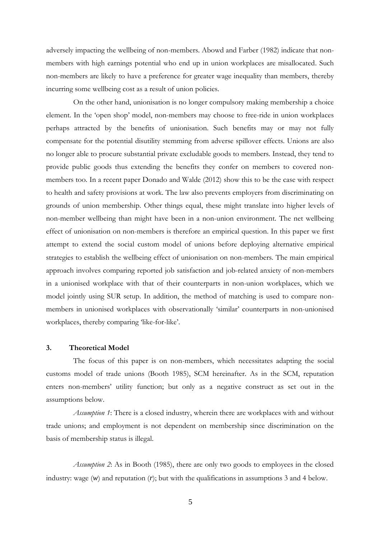adversely impacting the wellbeing of non-members. Abowd and Farber (1982) indicate that nonmembers with high earnings potential who end up in union workplaces are misallocated. Such non-members are likely to have a preference for greater wage inequality than members, thereby incurring some wellbeing cost as a result of union policies.

On the other hand, unionisation is no longer compulsory making membership a choice element. In the 'open shop' model, non-members may choose to free-ride in union workplaces perhaps attracted by the benefits of unionisation. Such benefits may or may not fully compensate for the potential disutility stemming from adverse spillover effects. Unions are also no longer able to procure substantial private excludable goods to members. Instead, they tend to provide public goods thus extending the benefits they confer on members to covered nonmembers too. In a recent paper Donado and Walde (2012) show this to be the case with respect to health and safety provisions at work. The law also prevents employers from discriminating on grounds of union membership. Other things equal, these might translate into higher levels of non-member wellbeing than might have been in a non-union environment. The net wellbeing effect of unionisation on non-members is therefore an empirical question. In this paper we first attempt to extend the social custom model of unions before deploying alternative empirical strategies to establish the wellbeing effect of unionisation on non-members. The main empirical approach involves comparing reported job satisfaction and job-related anxiety of non-members in a unionised workplace with that of their counterparts in non-union workplaces, which we model jointly using SUR setup. In addition, the method of matching is used to compare nonmembers in unionised workplaces with observationally 'similar' counterparts in non-unionised workplaces, thereby comparing 'like-for-like'.

## **3. Theoretical Model**

The focus of this paper is on non-members, which necessitates adapting the social customs model of trade unions (Booth 1985), SCM hereinafter. As in the SCM, reputation enters non-members' utility function; but only as a negative construct as set out in the assumptions below.

*Assumption 1*: There is a closed industry, wherein there are workplaces with and without trade unions; and employment is not dependent on membership since discrimination on the basis of membership status is illegal.

*Assumption 2*: As in Booth (1985), there are only two goods to employees in the closed industry: wage (*w*) and reputation (*r*); but with the qualifications in assumptions 3 and 4 below.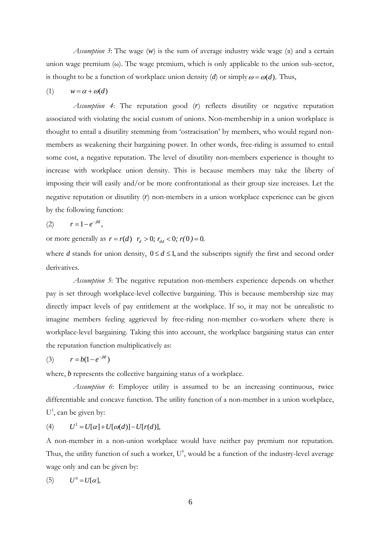*Assumption 3*: The wage  $(w)$  is the sum of average industry wide wage  $(\alpha)$  and a certain union wage premium  $(\omega)$ . The wage premium, which is only applicable to the union sub-sector, is thought to be a function of workplace union density (*d*) or simply  $\omega = \omega(d)$ . Thus,

$$
(1) \qquad w = \alpha + \omega(d)
$$

*Assumption 4*: The reputation good (*r*) reflects disutility or negative reputation associated with violating the social custom of unions. Non-membership in a union workplace is thought to entail a disutility stemming from 'ostracisation' by members, who would regard nonmembers as weakening their bargaining power. In other words, free-riding is assumed to entail some cost, a negative reputation. The level of disutility non-members experience is thought to increase with workplace union density. This is because members may take the liberty of imposing their will easily and/or be more confrontational as their group size increases. Let the negative reputation or disutility (*r*) non-members in a union workplace experience can be given by the following function:

$$
(2) \qquad r=1-e^{-\beta d},
$$

or more generally as  $r = r(d)$   $r_d > 0$ ;  $r_{dd} < 0$ ;  $r(0) = 0$ .

where *d* stands for union density,  $0 \le d \le 1$ , and the subscripts signify the first and second order derivatives.

*Assumption 5*: The negative reputation non-members experience depends on whether pay is set through workplace-level collective bargaining. This is because membership size may directly impact levels of pay entitlement at the workplace. If so, it may not be unrealistic to imagine members feeling aggrieved by free-riding non-member co-workers where there is workplace-level bargaining. Taking this into account, the workplace bargaining status can enter the reputation function multiplicatively as:

$$
(3) \qquad r = b(1 - e^{-\beta d})
$$

where, *b* represents the collective bargaining status of a workplace.

*Assumption 6*: Employee utility is assumed to be an increasing continuous, twice differentiable and concave function. The utility function of a non-member in a union workplace, U<sup>1</sup>, can be given by:

$$
(4) \qquad U^1 = U[\alpha] + U[\omega(d)] - U[r(d)],
$$

A non-member in a non-union workplace would have neither pay premium nor reputation. Thus, the utility function of such a worker,  $U^0$ , would be a function of the industry-level average wage only and can be given by:

$$
(5) \qquad U^0 = U[\alpha],
$$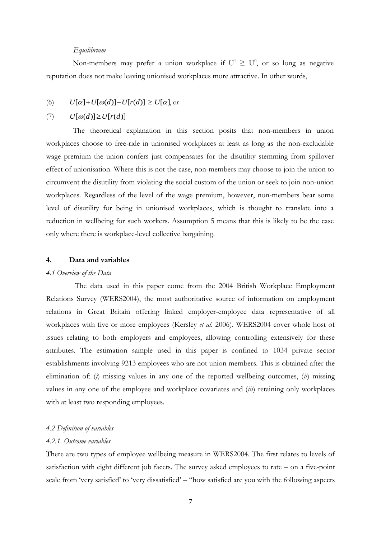### *Equilibrium*

Non-members may prefer a union workplace if  $U^1 \geq U^0$ , or so long as negative reputation does not make leaving unionised workplaces more attractive. In other words,

(6) 
$$
U[\alpha]+U[\omega(d)]-U[r(d)] \ge U[\alpha]
$$
, or

#### (7)  $U[\omega(d)] \ge U[r(d)]$

The theoretical explanation in this section posits that non-members in union workplaces choose to free-ride in unionised workplaces at least as long as the non-excludable wage premium the union confers just compensates for the disutility stemming from spillover effect of unionisation. Where this is not the case, non-members may choose to join the union to circumvent the disutility from violating the social custom of the union or seek to join non-union workplaces. Regardless of the level of the wage premium, however, non-members bear some level of disutility for being in unionised workplaces, which is thought to translate into a reduction in wellbeing for such workers. Assumption 5 means that this is likely to be the case only where there is workplace-level collective bargaining.

## **4. Data and variables**

### *4.1 Overview of the Data*

The data used in this paper come from the 2004 British Workplace Employment Relations Survey (WERS2004), the most authoritative source of information on employment relations in Great Britain offering linked employer-employee data representative of all workplaces with five or more employees (Kersley *et al*. 2006). WERS2004 cover whole host of issues relating to both employers and employees, allowing controlling extensively for these attributes. The estimation sample used in this paper is confined to 1034 private sector establishments involving 9213 employees who are not union members. This is obtained after the elimination of: (*i*) missing values in any one of the reported wellbeing outcomes, (*ii*) missing values in any one of the employee and workplace covariates and (*iii*) retaining only workplaces with at least two responding employees.

### *4.2 Definition of variables*

### *4.2.1. Outcome variables*

There are two types of employee wellbeing measure in WERS2004. The first relates to levels of satisfaction with eight different job facets. The survey asked employees to rate – on a five-point scale from 'very satisfied' to 'very dissatisfied' – "how satisfied are you with the following aspects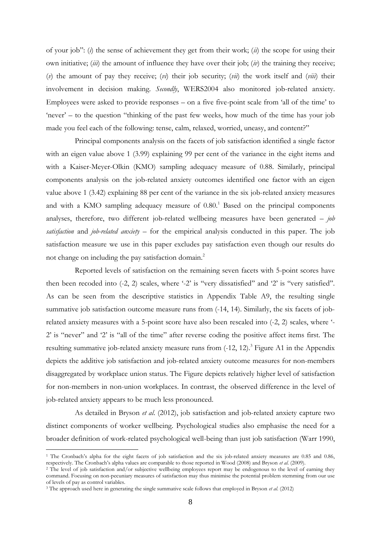of your job": (*i*) the sense of achievement they get from their work; (*ii*) the scope for using their own initiative; (*iii*) the amount of influence they have over their job; (*iv*) the training they receive; (*v*) the amount of pay they receive; (*vi*) their job security; (*vii*) the work itself and (*viii*) their involvement in decision making. *Secondly*, WERS2004 also monitored job-related anxiety. Employees were asked to provide responses – on a five five-point scale from 'all of the time' to 'never' – to the question "thinking of the past few weeks, how much of the time has your job made you feel each of the following: tense, calm, relaxed, worried, uneasy, and content?"

Principal components analysis on the facets of job satisfaction identified a single factor with an eigen value above 1 (3.99) explaining 99 per cent of the variance in the eight items and with a Kaiser-Meyer-Olkin (KMO) sampling adequacy measure of 0.88. Similarly, principal components analysis on the job-related anxiety outcomes identified one factor with an eigen value above 1 (3.42) explaining 88 per cent of the variance in the six job-related anxiety measures and with a KMO sampling adequacy measure of  $0.80$ .<sup>1</sup> Based on the principal components analyses, therefore, two different job-related wellbeing measures have been generated – *job satisfaction* and *job-related anxiety* – for the empirical analysis conducted in this paper. The job satisfaction measure we use in this paper excludes pay satisfaction even though our results do not change on including the pay satisfaction domain.<sup>2</sup>

Reported levels of satisfaction on the remaining seven facets with 5-point scores have then been recoded into (-2, 2) scales, where '-2' is ''very dissatisfied'' and '2' is ''very satisfied''. As can be seen from the descriptive statistics in Appendix Table A9, the resulting single summative job satisfaction outcome measure runs from (-14, 14). Similarly, the six facets of jobrelated anxiety measures with a 5-point score have also been rescaled into (-2, 2) scales, where '- 2' is "never" and '2' is "all of the time" after reverse coding the positive affect items first. The resulting summative job-related anxiety measure runs from  $(-12, 12)$ .<sup>3</sup> Figure A1 in the Appendix depicts the additive job satisfaction and job-related anxiety outcome measures for non-members disaggregated by workplace union status. The Figure depicts relatively higher level of satisfaction for non-members in non-union workplaces. In contrast, the observed difference in the level of job-related anxiety appears to be much less pronounced.

As detailed in Bryson *et al*. (2012), job satisfaction and job-related anxiety capture two distinct components of worker wellbeing. Psychological studies also emphasise the need for a broader definition of work-related psychological well-being than just job satisfaction (Warr 1990,

1

<sup>&</sup>lt;sup>1</sup> The Cronbach's alpha for the eight facets of job satisfaction and the six job-related anxiety measures are 0.85 and 0.86, respectively. The Cronbach's alpha values are comparable to those reported in Wood (2008) and Bryson *et al*. (2009).

<sup>&</sup>lt;sup>2</sup> The level of job satisfaction and/or subjective wellbeing employees report may be endogenous to the level of earning they command. Focusing on non-pecuniary measures of satisfaction may thus minimise the potential problem stemming from our use of levels of pay as control variables.

<sup>3</sup> The approach used here in generating the single summative scale follows that employed in Bryson *et al*. (2012)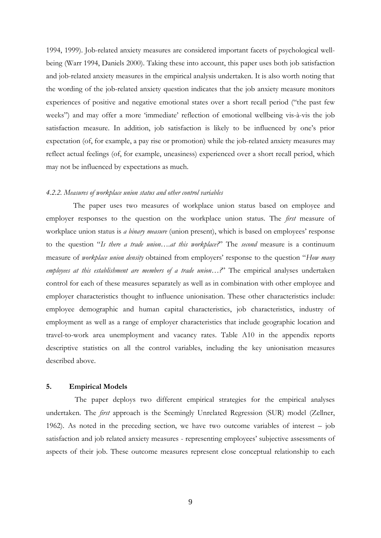1994, 1999). Job-related anxiety measures are considered important facets of psychological wellbeing (Warr 1994, Daniels 2000). Taking these into account, this paper uses both job satisfaction and job-related anxiety measures in the empirical analysis undertaken. It is also worth noting that the wording of the job-related anxiety question indicates that the job anxiety measure monitors experiences of positive and negative emotional states over a short recall period ("the past few weeks") and may offer a more 'immediate' reflection of emotional wellbeing vis-à-vis the job satisfaction measure. In addition, job satisfaction is likely to be influenced by one's prior expectation (of, for example, a pay rise or promotion) while the job-related anxiety measures may reflect actual feelings (of, for example, uneasiness) experienced over a short recall period, which may not be influenced by expectations as much.

## *4.2.2. Measures of workplace union status and other control variables*

The paper uses two measures of workplace union status based on employee and employer responses to the question on the workplace union status. The *first* measure of workplace union status is *a binary measure* (union present), which is based on employees' response to the question "*Is there a trade union….at this workplace?*" The *second* measure is a continuum measure of *workplace union density* obtained from employers' response to the question "*How many employees at this establishment are members of a trade union…?*" The empirical analyses undertaken control for each of these measures separately as well as in combination with other employee and employer characteristics thought to influence unionisation. These other characteristics include: employee demographic and human capital characteristics, job characteristics, industry of employment as well as a range of employer characteristics that include geographic location and travel-to-work area unemployment and vacancy rates. Table A10 in the appendix reports descriptive statistics on all the control variables, including the key unionisation measures described above.

### **5. Empirical Models**

The paper deploys two different empirical strategies for the empirical analyses undertaken. The *first* approach is the Seemingly Unrelated Regression (SUR) model (Zellner, 1962). As noted in the preceding section, we have two outcome variables of interest – job satisfaction and job related anxiety measures - representing employees' subjective assessments of aspects of their job. These outcome measures represent close conceptual relationship to each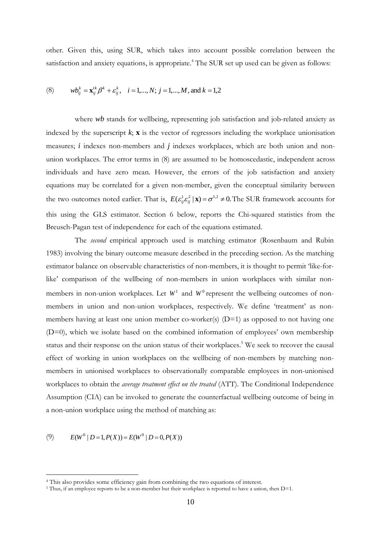other. Given this, using SUR, which takes into account possible correlation between the satisfaction and anxiety equations, is appropriate. <sup>4</sup> The SUR set up used can be given as follows:

(8) 
$$
wb_{ij}^k = \mathbf{x}_{ij}^k \beta^k + \varepsilon_{ij}^k
$$
,  $i = 1,..., N$ ;  $j = 1,..., M$ , and  $k = 1,2$ 

where *wb* stands for wellbeing, representing job satisfaction and job-related anxiety as indexed by the superscript  $k$ ;  $\bf{x}$  is the vector of regressors including the workplace unionisation measures; *i* indexes non-members and *j* indexes workplaces, which are both union and nonunion workplaces. The error terms in (8) are assumed to be homoscedastic, independent across individuals and have zero mean. However, the errors of the job satisfaction and anxiety equations may be correlated for a given non-member, given the conceptual similarity between the two outcomes noted earlier. That is,  $E(\epsilon_{ij}^1 \epsilon_{ij}^2 | \mathbf{x}) = \sigma^{1,2} \neq 0$ . The SUR framework accounts for this using the GLS estimator. Section 6 below, reports the Chi-squared statistics from the Breusch-Pagan test of independence for each of the equations estimated.

The *second* empirical approach used is matching estimator (Rosenbaum and Rubin 1983) involving the binary outcome measure described in the preceding section. As the matching estimator balance on observable characteristics of non-members, it is thought to permit 'like-forlike' comparison of the wellbeing of non-members in union workplaces with similar nonmembers in non-union workplaces. Let  $W<sup>1</sup>$  and  $W<sup>0</sup>$  represent the wellbeing outcomes of nonmembers in union and non-union workplaces, respectively. We define 'treatment' as nonmembers having at least one union member co-worker(s) (D=1) as opposed to not having one (D=0), which we isolate based on the combined information of employees' own membership status and their response on the union status of their workplaces.<sup>5</sup> We seek to recover the causal effect of working in union workplaces on the wellbeing of non-members by matching nonmembers in unionised workplaces to observationally comparable employees in non-unionised workplaces to obtain the *average treatment effect on the treated* (ATT). The Conditional Independence Assumption (CIA) can be invoked to generate the counterfactual wellbeing outcome of being in a non-union workplace using the method of matching as:

(9)  $E(W^{0} | D=1, P(X)) = E(W^{0} | D=0, P(X))$ 

1

<sup>4</sup> This also provides some efficiency gain from combining the two equations of interest.

<sup>5</sup> Thus, if an employee reports to be a non-member but their workplace is reported to have a union, then D=1.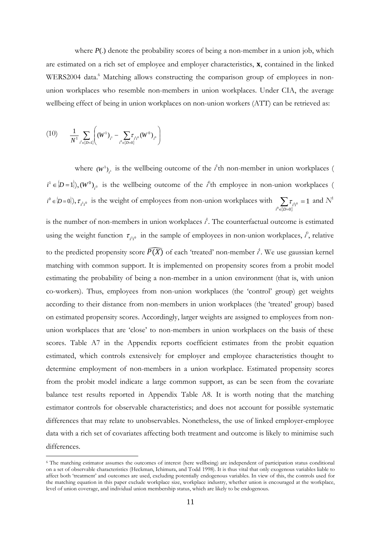where  $P(.)$  denote the probability scores of being a non-member in a union job, which are estimated on a rich set of employee and employer characteristics, **x**, contained in the linked WERS2004 data.<sup>6</sup> Matching allows constructing the comparison group of employees in nonunion workplaces who resemble non-members in union workplaces. Under CIA, the average wellbeing effect of being in union workplaces on non-union workers (ATT) can be retrieved as:

$$
(10) \qquad \frac{1}{N^{1}} \sum_{i^{i} \in \{D=1\}} \left( \left( W^{1} \right)_{i^{i}} - \sum_{i^{0} \in \{D=0\}} \tau_{i^{i} i^{0}} \left( W^{0} \right)_{i^{0}} \right)
$$

1

where  $(W^1)_{i^1}$  is the wellbeing outcome of the *i*<sup>t</sup>th non-member in union workplaces (  $i^1 \in [D=1]$ ,  $(W^0)_{i^0}$  is the wellbeing outcome of the *i*<sup>0</sup>th employee in non-union workplaces (  $(i^0 \in [D=0]), \tau_{i^1 i^0}$  is the weight of employees from non-union workplaces with  $\sum_{i \in \{D=0\}} \tau_i$  $=$ 0 0 <sup>1</sup> <sup>0</sup> 1  $\sum_{i^0 \in \{D=0\}} \tau_{i^{1i^0}} = 1$  and  $N^1$ is the number of non-members in union workplaces  $i^1$ . The counterfactual outcome is estimated using the weight function  $\tau_{i'i'}$  in the sample of employees in non-union workplaces,  $i'$ , relative to the predicted propensity score  $\widehat{P(X)}$  of each 'treated' non-member  $i^1$ . We use gaussian kernel matching with common support. It is implemented on propensity scores from a probit model estimating the probability of being a non-member in a union environment (that is, with union co-workers). Thus, employees from non-union workplaces (the 'control' group) get weights according to their distance from non-members in union workplaces (the 'treated' group) based on estimated propensity scores. Accordingly, larger weights are assigned to employees from nonunion workplaces that are 'close' to non-members in union workplaces on the basis of these scores. Table A7 in the Appendix reports coefficient estimates from the probit equation estimated, which controls extensively for employer and employee characteristics thought to determine employment of non-members in a union workplace. Estimated propensity scores from the probit model indicate a large common support, as can be seen from the covariate balance test results reported in Appendix Table A8. It is worth noting that the matching estimator controls for observable characteristics; and does not account for possible systematic differences that may relate to unobservables. Nonetheless, the use of linked employer-employee data with a rich set of covariates affecting both treatment and outcome is likely to minimise such differences.

<sup>6</sup> The matching estimator assumes the outcomes of interest (here wellbeing) are independent of participation status conditional on a set of observable characteristics (Heckman, Ichimura, and Todd 1998). It is thus vital that only exogenous variables liable to affect both 'treatment' and outcomes are used, excluding potentially endogenous variables. In view of this, the controls used for the matching equation in this paper exclude workplace size, workplace industry, whether union is encouraged at the workplace, level of union coverage, and individual union membership status, which are likely to be endogenous.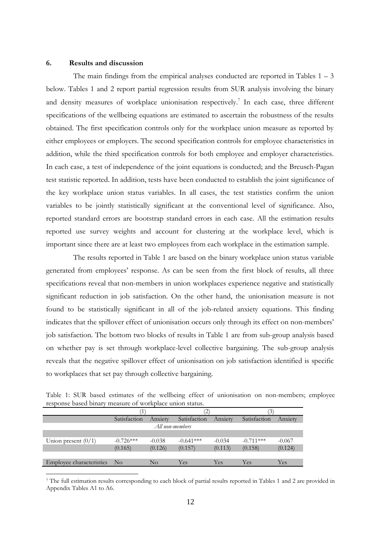## **6. Results and discussion**

<u>.</u>

The main findings from the empirical analyses conducted are reported in Tables  $1 - 3$ below. Tables 1 and 2 report partial regression results from SUR analysis involving the binary and density measures of workplace unionisation respectively.<sup>7</sup> In each case, three different specifications of the wellbeing equations are estimated to ascertain the robustness of the results obtained. The first specification controls only for the workplace union measure as reported by either employees or employers. The second specification controls for employee characteristics in addition, while the third specification controls for both employee and employer characteristics. In each case, a test of independence of the joint equations is conducted; and the Breusch-Pagan test statistic reported. In addition, tests have been conducted to establish the joint significance of the key workplace union status variables. In all cases, the test statistics confirm the union variables to be jointly statistically significant at the conventional level of significance. Also, reported standard errors are bootstrap standard errors in each case. All the estimation results reported use survey weights and account for clustering at the workplace level, which is important since there are at least two employees from each workplace in the estimation sample.

The results reported in Table 1 are based on the binary workplace union status variable generated from employees' response. As can be seen from the first block of results, all three specifications reveal that non-members in union workplaces experience negative and statistically significant reduction in job satisfaction. On the other hand, the unionisation measure is not found to be statistically significant in all of the job-related anxiety equations. This finding indicates that the spillover effect of unionisation occurs only through its effect on non-members' job satisfaction. The bottom two blocks of results in Table 1 are from sub-group analysis based on whether pay is set through workplace-level collective bargaining. The sub-group analysis reveals that the negative spillover effect of unionisation on job satisfaction identified is specific to workplaces that set pay through collective bargaining.

| Table 1: SUR based estimates of the wellbeing effect of unionisation on non-members; employee |  |  |  |
|-----------------------------------------------------------------------------------------------|--|--|--|
| response based binary measure of workplace union status.                                      |  |  |  |

|                          | Satisfaction | Anxiety  | Satisfaction | Anxiety  | Satisfaction | Anxiety  |  |
|--------------------------|--------------|----------|--------------|----------|--------------|----------|--|
| All non-members          |              |          |              |          |              |          |  |
|                          |              |          |              |          |              |          |  |
| Union present $(0/1)$    | $-0.726***$  | $-0.038$ | $-0.641***$  | $-0.034$ | $-0.711***$  | $-0.067$ |  |
|                          | (0.165)      | (0.126)  | (0.157)      | (0.113)  | (0.158)      | (0.124)  |  |
|                          |              |          |              |          |              |          |  |
| Employee characteristics | $\rm No$     | $\rm No$ | Yes          | Yes      | Yes          | Yes      |  |

<sup>7</sup> The full estimation results corresponding to each block of partial results reported in Tables 1 and 2 are provided in Appendix Tables A1 to A6.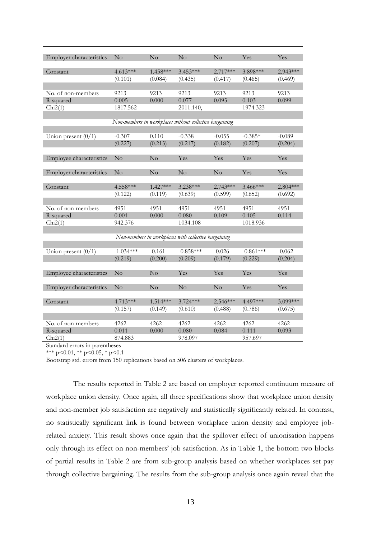| <b>Employer characteristics</b> | No            | $\rm No$   | No                                                      | No            | Yes           | Yes        |
|---------------------------------|---------------|------------|---------------------------------------------------------|---------------|---------------|------------|
|                                 |               |            |                                                         |               |               |            |
| Constant                        | $4.613***$    | 1.458***   | 3.453***                                                | 2.717***      | 3.898***      | $2.943***$ |
|                                 | (0.101)       | (0.084)    | (0.435)                                                 | (0.417)       | (0.465)       | (0.469)    |
|                                 |               |            |                                                         |               |               |            |
| No. of non-members              | 9213<br>0.005 | 9213       | 9213<br>0.077                                           | 9213<br>0.093 | 9213<br>0.103 | 9213       |
| R-squared                       |               | 0.000      |                                                         |               |               | 0.099      |
| Chi2(1)                         | 1817.562      |            | 2011.140,                                               |               | 1974.323      |            |
|                                 |               |            | Non-members in workplaces without collective bargaining |               |               |            |
|                                 |               |            |                                                         |               |               |            |
| Union present $(0/1)$           | $-0.307$      | 0.110      | $-0.338$                                                | $-0.055$      | $-0.385*$     | $-0.089$   |
|                                 | (0.227)       | (0.213)    | (0.217)                                                 | (0.182)       | (0.207)       | (0.204)    |
|                                 |               |            |                                                         |               |               |            |
| Employee characteristics        | No            | No         | Yes                                                     | Yes           | Yes           | Yes        |
|                                 |               |            |                                                         |               |               |            |
| Employer characteristics        | No            | No         | No                                                      | $\rm No$      | Yes           | Yes        |
|                                 |               |            |                                                         |               |               |            |
| Constant                        | 4.558***      | $1.427***$ | 3.238***                                                | $2.743***$    | 3.466***      | $2.804***$ |
|                                 | (0.122)       | (0.119)    | (0.639)                                                 | (0.599)       | (0.652)       | (0.692)    |
|                                 |               |            |                                                         |               |               |            |
| No. of non-members              | 4951          | 4951       | 4951                                                    | 4951          | 4951          | 4951       |
| R-squared                       | 0.001         | 0.000      | 0.080                                                   | 0.109         | 0.105         | 0.114      |
| Chi2(1)                         | 942.376       |            | 1034.108                                                |               | 1018.936      |            |
|                                 |               |            |                                                         |               |               |            |
|                                 |               |            | Non-members in workplaces with collective bargaining    |               |               |            |
|                                 |               |            |                                                         |               |               |            |
| Union present $(0/1)$           | $-1.034***$   | $-0.161$   | $-0.858***$                                             | $-0.026$      | $-0.861***$   | $-0.062$   |
|                                 | (0.219)       | (0.200)    | (0.209)                                                 | (0.179)       | (0.229)       | (0.204)    |
|                                 |               |            |                                                         |               |               |            |
| Employee characteristics        | No            | $\rm No$   | Yes                                                     | Yes           | Yes           | Yes        |
|                                 |               |            |                                                         |               |               |            |
| Employer characteristics        | No            | No         | $\rm No$                                                | No            | Yes           | Yes        |
|                                 |               |            |                                                         |               |               |            |
| Constant                        | $4.713***$    | $1.514***$ | $3.724***$                                              | $2.546***$    | 4.497***      | 3.099***   |
|                                 | (0.157)       | (0.149)    | (0.610)                                                 | (0.488)       | (0.786)       | (0.675)    |
|                                 |               |            |                                                         |               |               |            |
| No. of non-members              | 4262          | 4262       | 4262                                                    | 4262          | 4262          | 4262       |
| R-squared                       | 0.011         | 0.000      | 0.080                                                   | 0.084         | 0.111         | 0.093      |
| Chi2(1)                         | 874.883       |            | 978.097                                                 |               | 957.697       |            |

\*\*\* p<0.01, \*\* p<0.05, \* p<0.1

Bootstrap std. errors from 150 replications based on 506 clusters of workplaces.

The results reported in Table 2 are based on employer reported continuum measure of workplace union density. Once again, all three specifications show that workplace union density and non-member job satisfaction are negatively and statistically significantly related. In contrast, no statistically significant link is found between workplace union density and employee jobrelated anxiety. This result shows once again that the spillover effect of unionisation happens only through its effect on non-members' job satisfaction. As in Table 1, the bottom two blocks of partial results in Table 2 are from sub-group analysis based on whether workplaces set pay through collective bargaining. The results from the sub-group analysis once again reveal that the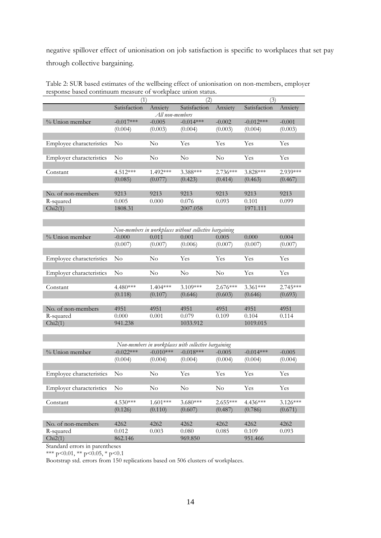negative spillover effect of unionisation on job satisfaction is specific to workplaces that set pay through collective bargaining.

| response based continuum measure or workplace union status. |                |            |              |            |              |          |  |  |  |
|-------------------------------------------------------------|----------------|------------|--------------|------------|--------------|----------|--|--|--|
|                                                             |                |            | 2)           |            |              |          |  |  |  |
|                                                             | Satisfaction   | Anxiety    | Satisfaction | Anxiety    | Satisfaction | Anxiety  |  |  |  |
| All non-members                                             |                |            |              |            |              |          |  |  |  |
| % Union member                                              | $-0.017***$    | $-0.005$   | $-0.014***$  | $-0.002$   | $-0.012***$  | $-0.001$ |  |  |  |
|                                                             | (0.004)        | (0.003)    | (0.004)      | (0.003)    | (0.004)      | (0.003)  |  |  |  |
|                                                             |                |            |              |            |              |          |  |  |  |
| Employee characteristics                                    | $\rm No$       | $\rm No$   | Yes          | Yes        | Yes          | Yes      |  |  |  |
|                                                             |                |            |              |            |              |          |  |  |  |
| Employer characteristics                                    | N <sub>0</sub> | No         | $\rm No$     | $\rm No$   | Yes          | Yes      |  |  |  |
|                                                             |                |            |              |            |              |          |  |  |  |
| Constant                                                    | $4.512***$     | $1.492***$ | 3.388***     | $2.736***$ | $3.828***$   | 2.939*** |  |  |  |
|                                                             | (0.085)        | (0.077)    | (0.423)      | (0.414)    | (0.463)      | (0.467)  |  |  |  |
|                                                             |                |            |              |            |              |          |  |  |  |
| No. of non-members                                          | 9213           | 9213       | 9213         | 9213       | 9213         | 9213     |  |  |  |
| R-squared                                                   | 0.005          | 0.000      | 0.076        | 0.093      | 0.101        | 0.099    |  |  |  |
| Chi2(1)                                                     | 1808.31        |            | 2007.058     |            | 1971.111     |          |  |  |  |

Table 2: SUR based estimates of the wellbeing effect of unionisation on non-members, employer response based continuum measure of workplace union status.

| Non-members in workplaces without collective bargaining |          |            |            |            |            |            |  |  |  |  |
|---------------------------------------------------------|----------|------------|------------|------------|------------|------------|--|--|--|--|
| % Union member                                          | $-0.000$ | 0.011      | 0.001      | 0.005      | 0.000      | 0.004      |  |  |  |  |
|                                                         | (0.007)  | (0.007)    | (0.006)    | (0.007)    | (0.007)    | (0.007)    |  |  |  |  |
|                                                         |          |            |            |            |            |            |  |  |  |  |
| <b>Employee characteristics</b>                         | No       | No         | <b>Yes</b> | Yes        | <b>Yes</b> | Yes        |  |  |  |  |
|                                                         |          |            |            |            |            |            |  |  |  |  |
| <b>Employer characteristics</b>                         | $\rm No$ | No         | $\rm No$   | $\rm No$   | <b>Yes</b> | Yes        |  |  |  |  |
|                                                         |          |            |            |            |            |            |  |  |  |  |
| Constant                                                | 4.480*** | $1.404***$ | $3.109***$ | $2.676***$ | $3.361***$ | $2.745***$ |  |  |  |  |
|                                                         | (0.118)  | (0.107)    | (0.646)    | (0.603)    | (0.646)    | (0.693)    |  |  |  |  |
|                                                         |          |            |            |            |            |            |  |  |  |  |
| No. of non-members                                      | 4951     | 4951       | 4951       | 4951       | 4951       | 4951       |  |  |  |  |
| R-squared                                               | 0.000    | 0.001      | 0.079      | 0.109      | 0.104      | 0.114      |  |  |  |  |
| Chi2(1)                                                 | 941.238  |            | 1033.912   |            | 1019.015   |            |  |  |  |  |

| Non-members in workplaces with collective bargaining |             |             |             |            |             |            |  |  |  |
|------------------------------------------------------|-------------|-------------|-------------|------------|-------------|------------|--|--|--|
| % Union member                                       | $-0.022***$ | $-0.010***$ | $-0.018***$ | $-0.005$   | $-0.014***$ | $-0.005$   |  |  |  |
|                                                      | (0.004)     | (0.004)     | (0.004)     | (0.004)    | (0.004)     | (0.004)    |  |  |  |
|                                                      |             |             |             |            |             |            |  |  |  |
| Employee characteristics                             | $\rm No$    | $\rm No$    | Yes         | Yes        | <b>Yes</b>  | Yes        |  |  |  |
|                                                      |             |             |             |            |             |            |  |  |  |
| <b>Employer characteristics</b>                      | $\rm No$    | $\rm No$    | $\rm No$    | $\rm No$   | Yes         | <b>Yes</b> |  |  |  |
|                                                      |             |             |             |            |             |            |  |  |  |
| Constant                                             | $4.530***$  | $1.601***$  | $3.680***$  | $2.655***$ | $4.436***$  | $3.126***$ |  |  |  |
|                                                      | (0.126)     | (0.110)     | (0.607)     | (0.487)    | (0.786)     | (0.671)    |  |  |  |
|                                                      |             |             |             |            |             |            |  |  |  |
| No. of non-members                                   | 4262        | 4262        | 4262        | 4262       | 4262        | 4262       |  |  |  |
| R-squared                                            | 0.012       | 0.003       | 0.080       | 0.085      | 0.109       | 0.093      |  |  |  |
| Chi2(1)                                              | 862.146     |             | 969.850     |            | 951.466     |            |  |  |  |

Standard errors in parentheses

\*\*\* p<0.01, \*\* p<0.05, \* p<0.1

Bootstrap std. errors from 150 replications based on 506 clusters of workplaces.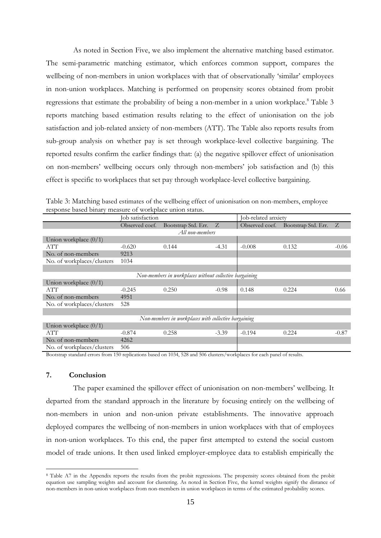As noted in Section Five, we also implement the alternative matching based estimator. The semi-parametric matching estimator, which enforces common support, compares the wellbeing of non-members in union workplaces with that of observationally 'similar' employees in non-union workplaces. Matching is performed on propensity scores obtained from probit regressions that estimate the probability of being a non-member in a union workplace.<sup>8</sup> Table 3 reports matching based estimation results relating to the effect of unionisation on the job satisfaction and job-related anxiety of non-members (ATT). The Table also reports results from sub-group analysis on whether pay is set through workplace-level collective bargaining. The reported results confirm the earlier findings that: (a) the negative spillover effect of unionisation on non-members' wellbeing occurs only through non-members' job satisfaction and (b) this effect is specific to workplaces that set pay through workplace-level collective bargaining.

| response based binary inclusare or womplace amon status. |                  |                                                         |         |                     |                                    |         |  |
|----------------------------------------------------------|------------------|---------------------------------------------------------|---------|---------------------|------------------------------------|---------|--|
|                                                          | Job satisfaction |                                                         |         | Job-related anxiety |                                    |         |  |
|                                                          | Observed coef.   | Bootstrap Std. Err. Z                                   |         |                     | Observed coef. Bootstrap Std. Err. | Z       |  |
|                                                          |                  | All non-members                                         |         |                     |                                    |         |  |
| Union workplace $(0/1)$                                  |                  |                                                         |         |                     |                                    |         |  |
| ATT                                                      | $-0.620$         | 0.144                                                   | $-4.31$ | $-0.008$            | 0.132                              | $-0.06$ |  |
| No. of non-members                                       | 9213             |                                                         |         |                     |                                    |         |  |
| No. of workplaces/clusters                               | 1034             |                                                         |         |                     |                                    |         |  |
|                                                          |                  |                                                         |         |                     |                                    |         |  |
|                                                          |                  | Non-members in workplaces without collective bargaining |         |                     |                                    |         |  |
| Union workplace $(0/1)$                                  |                  |                                                         |         |                     |                                    |         |  |
| ATT                                                      | $-0.245$         | 0.250                                                   | $-0.98$ | 0.148               | 0.224                              | 0.66    |  |
| No. of non-members                                       | 4951             |                                                         |         |                     |                                    |         |  |
| No. of workplaces/clusters                               | 528              |                                                         |         |                     |                                    |         |  |
|                                                          |                  |                                                         |         |                     |                                    |         |  |
|                                                          |                  | Non-members in workplaces with collective bargaining    |         |                     |                                    |         |  |
| Union workplace $(0/1)$                                  |                  |                                                         |         |                     |                                    |         |  |
| ATT                                                      | $-0.874$         | 0.258                                                   | $-3.39$ | $-0.194$            | 0.224                              | $-0.87$ |  |
| No. of non-members                                       | 4262             |                                                         |         |                     |                                    |         |  |
| No. of workplaces/clusters                               | 506              |                                                         |         |                     |                                    |         |  |

Table 3: Matching based estimates of the wellbeing effect of unionisation on non-members, employee response based binary measure of workplace union status.

Bootstrap standard errors from 150 replications based on 1034, 528 and 506 clusters/workplaces for each panel of results.

### **7. Conclusion**

1

The paper examined the spillover effect of unionisation on non-members' wellbeing. It departed from the standard approach in the literature by focusing entirely on the wellbeing of non-members in union and non-union private establishments. The innovative approach deployed compares the wellbeing of non-members in union workplaces with that of employees in non-union workplaces. To this end, the paper first attempted to extend the social custom model of trade unions. It then used linked employer-employee data to establish empirically the

<sup>&</sup>lt;sup>8</sup> Table A7 in the Appendix reports the results from the probit regressions. The propensity scores obtained from the probit equation use sampling weights and account for clustering. As noted in Section Five, the kernel weights signify the distance of non-members in non-union workplaces from non-members in union workplaces in terms of the estimated probability scores.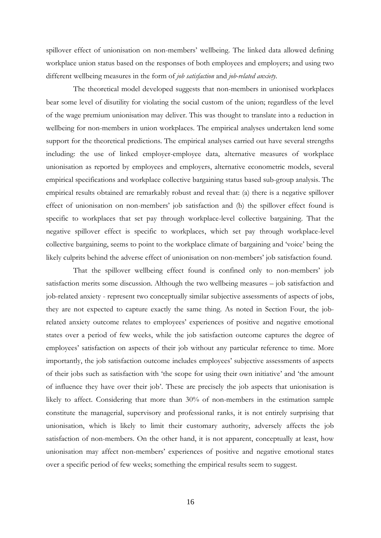spillover effect of unionisation on non-members' wellbeing. The linked data allowed defining workplace union status based on the responses of both employees and employers; and using two different wellbeing measures in the form of *job satisfaction* and *job-related anxiety*.

The theoretical model developed suggests that non-members in unionised workplaces bear some level of disutility for violating the social custom of the union; regardless of the level of the wage premium unionisation may deliver. This was thought to translate into a reduction in wellbeing for non-members in union workplaces. The empirical analyses undertaken lend some support for the theoretical predictions. The empirical analyses carried out have several strengths including: the use of linked employer-employee data, alternative measures of workplace unionisation as reported by employees and employers, alternative econometric models, several empirical specifications and workplace collective bargaining status based sub-group analysis. The empirical results obtained are remarkably robust and reveal that: (a) there is a negative spillover effect of unionisation on non-members' job satisfaction and (b) the spillover effect found is specific to workplaces that set pay through workplace-level collective bargaining. That the negative spillover effect is specific to workplaces, which set pay through workplace-level collective bargaining, seems to point to the workplace climate of bargaining and 'voice' being the likely culprits behind the adverse effect of unionisation on non-members' job satisfaction found.

That the spillover wellbeing effect found is confined only to non-members' job satisfaction merits some discussion. Although the two wellbeing measures – job satisfaction and job-related anxiety - represent two conceptually similar subjective assessments of aspects of jobs, they are not expected to capture exactly the same thing. As noted in Section Four, the jobrelated anxiety outcome relates to employees' experiences of positive and negative emotional states over a period of few weeks, while the job satisfaction outcome captures the degree of employees' satisfaction on aspects of their job without any particular reference to time. More importantly, the job satisfaction outcome includes employees' subjective assessments of aspects of their jobs such as satisfaction with 'the scope for using their own initiative' and 'the amount of influence they have over their job'. These are precisely the job aspects that unionisation is likely to affect. Considering that more than 30% of non-members in the estimation sample constitute the managerial, supervisory and professional ranks, it is not entirely surprising that unionisation, which is likely to limit their customary authority, adversely affects the job satisfaction of non-members. On the other hand, it is not apparent, conceptually at least, how unionisation may affect non-members' experiences of positive and negative emotional states over a specific period of few weeks; something the empirical results seem to suggest.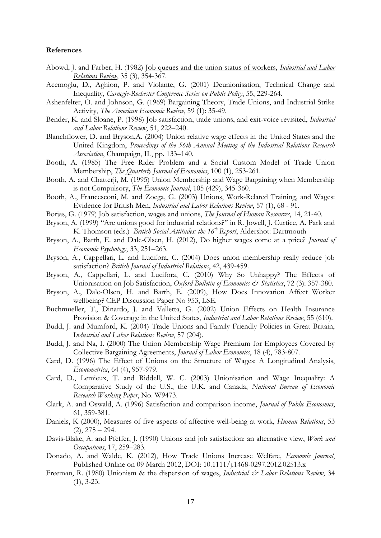## **References**

- Abowd, J. and Farber, H. (1982) [Job queues and the union status of workers,](http://ideas.repec.org/a/ilr/articl/v35y1982i3p354-367.html) *[Industrial and Labor](http://ideas.repec.org/s/ilr/articl.html)  [Relations Review](http://ideas.repec.org/s/ilr/articl.html)*, 35 (3), 354-367.
- Acemoglu, D., Aghion, P. and Violante, G. (2001) Deunionisation, Technical Change and Inequality, *Carnegie-Rochester Conference Series on Public Policy*, 55, 229-264.
- Ashenfelter, O. and Johnson, G. (1969) Bargaining Theory, Trade Unions, and Industrial Strike Activity, *The American Economic Review*, 59 (1): 35-49.
- Bender, K. and Sloane, P. (1998) Job satisfaction, trade unions, and exit-voice revisited, *Industrial and Labor Relations Review*, 51, 222–240.
- Blanchflower, D. and Bryson,A. (2004) Union relative wage effects in the United States and the United Kingdom, *Proceedings of the 56th Annual Meeting of the Industrial Relations Research Association*, Champaign, IL, pp. 133–140.
- Booth, A. (1985) The Free Rider Problem and a Social Custom Model of Trade Union Membership, *The Quarterly Journal of Economics*, 100 (1), 253-261.
- Booth, A. and Chatterji, M. (1995) Union Membership and Wage Bargaining when Membership is not Compulsory, *The Economic Journal*, 105 (429), 345-360.
- Booth, A., Francesconi, M. and Zoega, G. (2003) Unions, Work-Related Training, and Wages: Evidence for British Men, *Industrial and Labor Relations Review*, 57 (1), 68 - 91.
- Borjas, G. (1979) Job satisfaction, wages and unions, *The Journal of Human Resources*, 14, 21-40.
- Bryson, A. (1999) "Are unions good for industrial relations?" in R. Jowell, J. Curtice, A. Park and K. Thomson (eds.) *British Social Attitudes: the 16th Report*, Aldershot: Dartmouth
- Bryson, A., Barth, E. and Dale-Olsen, H. (2012), Do higher wages come at a price? *Journal of Economic Psychology*, 33, 251–263.
- Bryson, A., Cappellari, L. and Lucifora, C. (2004) Does union membership really reduce job satisfaction? *British Journal of Industrial Relations*, 42, 439-459.
- Bryson, A., Cappellari, L. and Lucifora, C. (2010) Why So Unhappy? The Effects of Unionisation on Job Satisfaction, *Oxford Bulletin of Economics & Statistics*, 72 (3): 357-380.
- Bryson, A., Dale-Olsen, H. and Barth, E. (2009), How Does Innovation Affect Worker wellbeing? CEP Discussion Paper No 953, LSE.
- Buchmueller, T., Dinardo, J. and Valletta, G. (2002) Union Effects on Health Insurance Provision & Coverage in the United States, *Industrial and Labor Relations Review*, 55 (610).
- Budd, J. and Mumford, K. (2004) Trade Unions and Family Friendly Policies in Great Britain, I*ndustrial and Labor Relations Review*, 57 (204).
- Budd, J. and Na, I. (2000) The Union Membership Wage Premium for Employees Covered by Collective Bargaining Agreements, *Journal of Labor Economics*, 18 (4), 783-807.
- Card, D. (1996) The Effect of Unions on the Structure of Wages: A Longitudinal Analysis, *Econometrica*, 64 (4), 957-979.
- Card, D., Lemieux, T. and Riddell, W. C. (2003) Unionisation and Wage Inequality: A Comparative Study of the U.S., the U.K. and Canada, *National Bureau of Economic Research Working Paper*, No. W9473.
- Clark, A. and Oswald, A. (1996) Satisfaction and comparison income, *Journal of Public Economics*, 61, 359-381.
- Daniels, K (2000), Measures of five aspects of affective well-being at work, *Human Relations*, 53  $(2)$ ,  $275 - 294$ .
- Davis-Blake, A. and Pfeffer, J. (1990) Unions and job satisfaction: an alternative view, *Work and Occupations*, 17, 259–283.
- Donado, A. and Walde, K. (2012), How Trade Unions Increase Welfare, *Economic Journal*, Published Online on 09 March 2012, DOI: 10.1111/j.1468-0297.2012.02513.x
- Freeman, R. (1980) Unionism & the dispersion of wages, *Industrial & Labor Relations Review*, 34 (1), 3-23.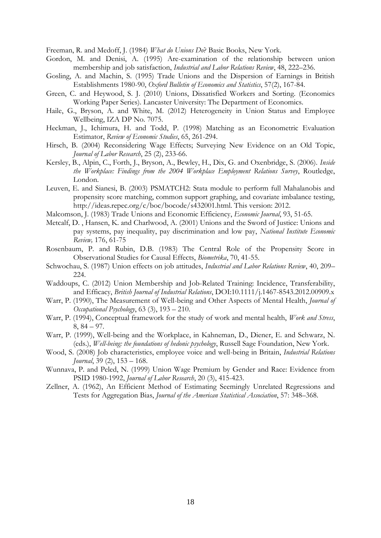Freeman, R. and Medoff, J. (1984) *What do Unions Do*? Basic Books, New York.

- Gordon, M. and Denisi, A. (1995) Are-examination of the relationship between union membership and job satisfaction, *Industrial and Labor Relations Review*, 48, 222–236.
- Gosling, A. and Machin, S. (1995) Trade Unions and the Dispersion of Earnings in British Establishments 1980-90, *Oxford Bulletin of Economics and Statistics*, 57(2), 167-84.
- Green, C. and Heywood, S. J. (2010) Unions, Dissatisfied Workers and Sorting. (Economics Working Paper Series). Lancaster University: The Department of Economics.
- Haile, G., Bryson, A. and White, M. (2012) Heterogeneity in Union Status and Employee Wellbeing, IZA DP No. 7075.
- Heckman, J., Ichimura, H. and Todd, P. (1998) Matching as an Econometric Evaluation Estimator, *Review of Economic Studies*, 65, 261-294.
- Hirsch, B. (2004) Reconsidering Wage Effects; Surveying New Evidence on an Old Topic, *Journal of Labor Research*, 25 (2), 233-66.
- Kersley, B., Alpin, C., Forth, J., Bryson, A., Bewley, H., Dix, G. and Oxenbridge, S. (2006). *Inside the Workplace: Findings from the 2004 Workplace Employment Relations Survey*, Routledge, London.
- Leuven, E. and Sianesi, B. (2003) PSMATCH2: Stata module to perform full Mahalanobis and propensity score matching, common support graphing, and covariate imbalance testing, http://ideas.repec.org/c/boc/bocode/s432001.html. This version: 2012.
- Malcomson, J. (1983) Trade Unions and Economic Efficiency, *Economic Journal*, 93, 51-65.
- Metcalf, D. , Hansen, K. and Charlwood, A. (2001) Unions and the Sword of Justice: Unions and pay systems, pay inequality, pay discrimination and low pay, *National Institute Economic Review,* 176, 61-75
- Rosenbaum, P. and Rubin, D.B. (1983) The Central Role of the Propensity Score in Observational Studies for Causal Effects, *Biometrika*, 70, 41-55.
- Schwochau, S. (1987) Union effects on job attitudes, *Industrial and Labor Relations Review*, 40, 209– 224.
- Waddoups, C. (2012) Union Membership and Job-Related Training: Incidence, Transferability, and Efficacy, *British Journal of Industrial Relations*, DOI:10.1111/j.1467-8543.2012.00909.x
- Warr, P. (1990), The Measurement of Well-being and Other Aspects of Mental Health, *Journal of Occupational Psychology*, 63 (3), 193 – 210.
- Warr, P. (1994), Conceptual framework for the study of work and mental health, *Work and Stress*, 8, 84 – 97.
- Warr, P. (1999), Well-being and the Workplace, in Kahneman, D., Diener, E. and Schwarz, N. (eds.), *Well-being: the foundations of hedonic psychology*, Russell Sage Foundation, New York.
- Wood, S. (2008) Job characteristics, employee voice and well-being in Britain, *Industrial Relations Journal*, 39 (2), 153 – 168.
- Wunnava, P. and Peled, N. (1999) Union Wage Premium by Gender and Race: Evidence from PSID 1980-1992, *Journal of Labor Research*, 20 (3), 415-423.
- Zellner, A. (1962), An Efficient Method of Estimating Seemingly Unrelated Regressions and Tests for Aggregation Bias, *Journal of the American Statistical Association*, 57: 348–368.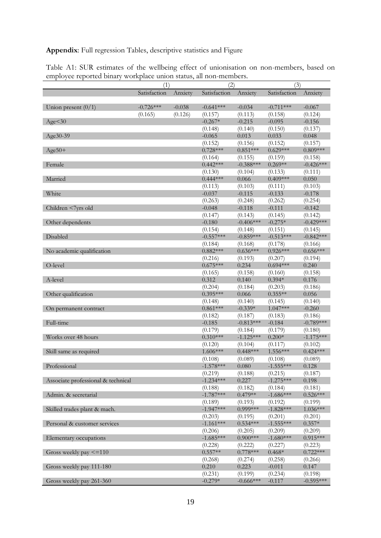**Appendix**: Full regression Tables, descriptive statistics and Figure

|                                    | (1)          |          | (2)          |              | (3)          |             |
|------------------------------------|--------------|----------|--------------|--------------|--------------|-------------|
|                                    | Satisfaction | Anxiety  | Satisfaction | Anxiety      | Satisfaction | Anxiety     |
| Union present $(0/1)$              | $-0.726***$  | $-0.038$ | $-0.641***$  | $-0.034$     | $-0.711***$  | $-0.067$    |
|                                    | (0.165)      | (0.126)  | (0.157)      | (0.113)      | (0.158)      | (0.124)     |
| Age < 30                           |              |          | $-0.267*$    | $-0.215$     | $-0.095$     | $-0.156$    |
|                                    |              |          | (0.148)      | (0.140)      | (0.150)      | (0.137)     |
| Age30-39                           |              |          | $-0.065$     | 0.013        | 0.033        | 0.048       |
|                                    |              |          | (0.152)      | (0.156)      | (0.152)      | (0.157)     |
| $Age50+$                           |              |          | $0.728***$   | $0.851***$   | $0.629***$   | $0.809***$  |
|                                    |              |          | (0.164)      | (0.155)      | (0.159)      | (0.158)     |
| Female                             |              |          | $0.442***$   | $-0.388$ *** | $0.269**$    | $-0.426***$ |
|                                    |              |          | (0.130)      | (0.104)      | (0.133)      | (0.111)     |
| Married                            |              |          | $0.444***$   | 0.066        | $0.409***$   | 0.050       |
|                                    |              |          | (0.113)      | (0.103)      | (0.111)      | (0.103)     |
| White                              |              |          | $-0.037$     | $-0.115$     | $-0.133$     | $-0.178$    |
|                                    |              |          | (0.263)      | (0.248)      | (0.262)      | (0.254)     |
| Children <7yrs old                 |              |          | $-0.048$     | $-0.118$     | $-0.111$     | $-0.142$    |
|                                    |              |          | (0.147)      | (0.143)      | (0.145)      | (0.142)     |
| Other dependents                   |              |          | $-0.180$     | $-0.406***$  | $-0.275*$    | $-0.429***$ |
|                                    |              |          | (0.154)      | (0.148)      | (0.151)      | (0.145)     |
| Disabled                           |              |          | $-0.557***$  | $-0.859***$  | $-0.513***$  | $-0.842***$ |
|                                    |              |          | (0.184)      | (0.168)      | (0.178)      | (0.166)     |
| No academic qualification          |              |          | $0.882***$   | $0.636***$   | $0.926***$   | $0.656***$  |
|                                    |              |          | (0.216)      | (0.193)      | (0.207)      | (0.194)     |
| O-level                            |              |          | $0.675***$   | 0.234        | $0.694***$   | 0.240       |
|                                    |              |          | (0.165)      | (0.158)      | (0.160)      | (0.158)     |
| A-level                            |              |          | 0.312        | 0.140        | $0.394*$     | 0.176       |
|                                    |              |          | (0.204)      | (0.184)      | (0.203)      | (0.186)     |
| Other qualification                |              |          | $0.395***$   | 0.066        | $0.355**$    | 0.056       |
|                                    |              |          | (0.148)      | (0.140)      | (0.145)      | (0.140)     |
| On permanent contract              |              |          | $0.861***$   | $-0.339*$    | $1.047***$   | $-0.260$    |
|                                    |              |          | (0.182)      | (0.187)      | (0.183)      | (0.186)     |
| Full-time                          |              |          | $-0.185$     | $-0.813***$  | $-0.184$     | $-0.789***$ |
|                                    |              |          | (0.179)      | (0.184)      | (0.179)      | (0.180)     |
| Works over 48 hours                |              |          | $0.310***$   | $-1.125***$  | $0.200*$     | $-1.175***$ |
|                                    |              |          | (0.120)      | (0.104)      | (0.117)      | (0.102)     |
| Skill same as required             |              |          | $1.606***$   | $0.448***$   | $1.556***$   | $0.424***$  |
|                                    |              |          | (0.108)      | (0.089)      | (0.108)      | (0.089)     |
| Professional                       |              |          | $-1.578***$  | 0.080        | $-1.555***$  | 0.128       |
|                                    |              |          | (0.219)      | (0.188)      | (0.215)      | (0.187)     |
| Associate professional & technical |              |          | $-1.234***$  | 0.227        | $-1.275***$  | 0.198       |
|                                    |              |          | (0.188)      | (0.182)      | (0.184)      | (0.181)     |
| Admin. & secretarial               |              |          | $-1.787***$  | $0.479**$    | $-1.686***$  | $0.526***$  |
|                                    |              |          | (0.189)      | (0.193)      | (0.192)      | (0.199)     |
| Skilled trades plant & mach.       |              |          | $-1.947***$  | $0.999***$   | $-1.828***$  | $1.036***$  |
|                                    |              |          | (0.203)      | (0.195)      | (0.201)      | (0.201)     |
| Personal & customer services       |              |          | $-1.161***$  | $0.534***$   | $-1.555***$  | $0.357*$    |
|                                    |              |          | (0.206)      | (0.205)      | (0.209)      | (0.209)     |
| Elementary occupations             |              |          | $-1.685***$  | $0.900$ ***  | $-1.680***$  | $0.915***$  |
|                                    |              |          | (0.228)      | (0.222)      | (0.227)      | (0.223)     |
| Gross weekly pay $\leq$ =110       |              |          | $0.557**$    | $0.778***$   | $0.468*$     | $0.722***$  |
|                                    |              |          | (0.268)      | (0.274)      | (0.258)      | (0.266)     |
| Gross weekly pay 111-180           |              |          | 0.210        | 0.223        | $-0.011$     | 0.147       |
|                                    |              |          | (0.231)      | (0.199)      | (0.234)      | (0.198)     |
| Gross weekly pay 261-360           |              |          | $-0.279*$    | $-0.666$ *** | $-0.117$     | $-0.595***$ |

Table A1: SUR estimates of the wellbeing effect of unionisation on non-members, based on employee reported binary workplace union status, all non-members.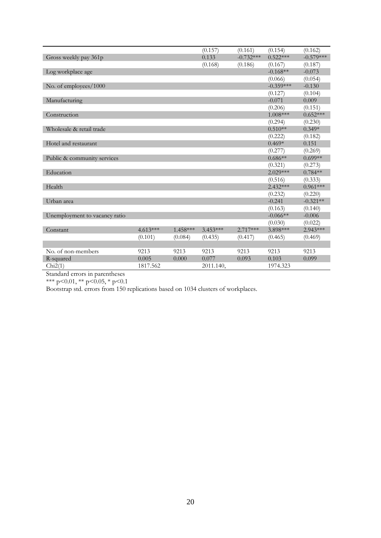|                               |            |           | (0.157)    | (0.161)     | (0.154)     | (0.162)     |
|-------------------------------|------------|-----------|------------|-------------|-------------|-------------|
| Gross weekly pay 361p         |            |           | 0.133      | $-0.732***$ | $0.522***$  | $-0.579***$ |
|                               |            |           | (0.168)    | (0.186)     | (0.167)     | (0.187)     |
| Log workplace age             |            |           |            |             | $-0.168**$  | $-0.073$    |
|                               |            |           |            |             | (0.066)     | (0.054)     |
| No. of employees/1000         |            |           |            |             | $-0.359***$ | $-0.130$    |
|                               |            |           |            |             | (0.127)     | (0.104)     |
| Manufacturing                 |            |           |            |             | $-0.071$    | 0.009       |
|                               |            |           |            |             | (0.206)     | (0.151)     |
| Construction                  |            |           |            |             | $1.008***$  | $0.652***$  |
|                               |            |           |            |             | (0.294)     | (0.230)     |
| Wholesale & retail trade      |            |           |            |             | $0.510**$   | $0.349*$    |
|                               |            |           |            |             | (0.222)     | (0.182)     |
| Hotel and restaurant          |            |           |            |             | $0.469*$    | 0.151       |
|                               |            |           |            |             | (0.277)     | (0.269)     |
| Public & community services   |            |           |            |             | $0.686**$   | $0.699**$   |
|                               |            |           |            |             | (0.321)     | (0.273)     |
| Education                     |            |           |            |             | $2.029***$  | $0.784**$   |
|                               |            |           |            |             | (0.516)     | (0.333)     |
| Health                        |            |           |            |             | $2.432***$  | $0.961***$  |
|                               |            |           |            |             | (0.232)     | (0.220)     |
| Urban area                    |            |           |            |             | $-0.241$    | $-0.321**$  |
|                               |            |           |            |             | (0.163)     | (0.140)     |
| Unemployment to vacancy ratio |            |           |            |             | $-0.066**$  | $-0.006$    |
|                               |            |           |            |             | (0.030)     | (0.022)     |
| Constant                      | $4.613***$ | 1.458 *** | $3.453***$ | $2.717***$  | 3.898***    | 2.943***    |
|                               | (0.101)    | (0.084)   | (0.435)    | (0.417)     | (0.465)     | (0.469)     |
|                               |            |           |            |             |             |             |
| No. of non-members            | 9213       | 9213      | 9213       | 9213        | 9213        | 9213        |
| R-squared                     | 0.005      | 0.000     | 0.077      | 0.093       | 0.103       | 0.099       |
| Chi2(1)                       | 1817.562   |           | 2011.140,  |             | 1974.323    |             |

\*\*\* p<0.01, \*\* p<0.05, \* p<0.1

Bootstrap std. errors from 150 replications based on 1034 clusters of workplaces.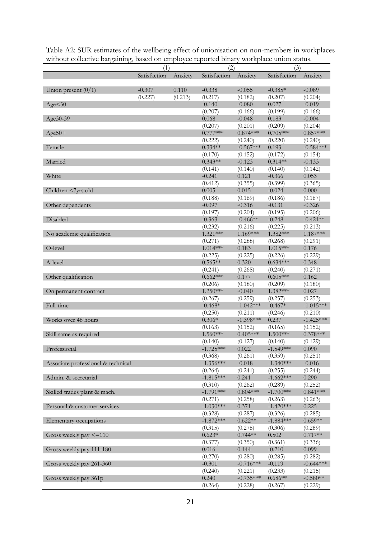| runout conceuve bargammig,         | (1)          |         | $\frac{1}{2}$<br>(2)  |                     | workplace annon status.<br>(3) |                     |
|------------------------------------|--------------|---------|-----------------------|---------------------|--------------------------------|---------------------|
|                                    | Satisfaction | Anxiety | Satisfaction          | Anxiety             | Satisfaction                   | Anxiety             |
|                                    |              |         |                       |                     |                                |                     |
| Union present $(0/1)$              | $-0.307$     | 0.110   | $-0.338$              | $-0.055$            | $-0.385*$                      | $-0.089$            |
|                                    | (0.227)      | (0.213) | (0.217)               | (0.182)             | (0.207)                        | (0.204)             |
| Age < 30                           |              |         | $-0.140$              | $-0.080$            | 0.027                          | $-0.019$            |
|                                    |              |         | (0.207)               | (0.166)             | (0.199)                        | (0.166)             |
| Age30-39                           |              |         | 0.068                 | $-0.048$            | 0.183                          | $-0.004$            |
|                                    |              |         | (0.207)               | (0.201)             | (0.209)                        | (0.204)             |
| $Age50+$                           |              |         | $0.777***$            | $0.874***$          | $0.705***$                     | $0.857***$          |
|                                    |              |         | (0.222)               | (0.240)             | (0.220)                        | (0.240)             |
| Female                             |              |         | $0.334**$             | $-0.567***$         | 0.193                          | $-0.584***$         |
|                                    |              |         | (0.170)               | (0.152)             | (0.172)                        | (0.154)             |
| Married                            |              |         | $0.343**$             | $-0.123$            | $0.314**$                      | $-0.133$            |
|                                    |              |         | (0.141)               | (0.140)             | (0.140)                        | (0.142)             |
| White                              |              |         | $-0.241$              | 0.121               | $-0.366$                       | 0.053               |
|                                    |              |         | (0.412)               | (0.355)             | (0.399)                        | (0.365)             |
| Children <7yrs old                 |              |         | 0.005                 | 0.015               | $-0.024$                       | 0.000               |
|                                    |              |         | (0.188)               | (0.169)             | (0.186)                        | (0.167)             |
| Other dependents                   |              |         | $-0.097$              | $-0.316$            | $-0.131$                       | $-0.326$            |
|                                    |              |         | (0.197)               | (0.204)             | (0.195)                        | (0.206)             |
| Disabled                           |              |         | $-0.363$              | $-0.466**$          | $-0.248$                       | $-0.421**$          |
|                                    |              |         | (0.232)<br>$1.321***$ | (0.216)<br>1.169*** | (0.225)<br>1.382***            | (0.213)<br>1.187*** |
| No academic qualification          |              |         |                       |                     |                                |                     |
| O-level                            |              |         | (0.271)<br>$1.014***$ | (0.288)<br>0.183    | (0.268)<br>$1.015***$          | (0.291)<br>0.176    |
|                                    |              |         | (0.225)               | (0.225)             | (0.226)                        | (0.229)             |
| A-level                            |              |         | $0.565**$             | 0.320               | $0.634***$                     | 0.348               |
|                                    |              |         | (0.241)               | (0.268)             | (0.240)                        | (0.271)             |
| Other qualification                |              |         | $0.662***$            | 0.177               | $0.605***$                     | 0.162               |
|                                    |              |         | (0.206)               | (0.180)             | (0.209)                        | (0.180)             |
| On permanent contract              |              |         | $1.250***$            | $-0.040$            | 1.382***                       | 0.027               |
|                                    |              |         | (0.267)               | (0.259)             | (0.257)                        | (0.253)             |
| Full-time                          |              |         | $-0.468*$             | $-1.042***$         | $-0.467*$                      | $-1.015***$         |
|                                    |              |         | (0.250)               | (0.211)             | (0.246)                        | (0.210)             |
| Works over 48 hours                |              |         | $0.306*$              | $-1.398***$         | 0.237                          | $-1.425***$         |
|                                    |              |         | (0.163)               | (0.152)             | (0.165)                        | (0.152)             |
| Skill same as required             |              |         | 1.560***              | $0.405***$          | $1.500***$                     | $0.378***$          |
|                                    |              |         | (0.140)               | (0.127)             | (0.140)                        | (0.129)             |
| Professional                       |              |         | $-1.725***$           | 0.022               | $-1.549***$                    | 0.090               |
|                                    |              |         | (0.368)               | (0.261)             | (0.359)                        | (0.251)             |
| Associate professional & technical |              |         | $-1.356***$           | $-0.018$            | $-1.340***$                    | $-0.016$            |
|                                    |              |         | (0.264)               | (0.241)             | (0.255)                        | (0.244)             |
| Admin. & secretarial               |              |         | $-1.815***$           | 0.241               | $-1.662***$                    | 0.290               |
|                                    |              |         | (0.310)               | (0.262)             | (0.289)                        | (0.252)             |
| Skilled trades plant & mach.       |              |         | $-1.791***$           | $0.804***$          | $-1.700***$                    | $0.841***$          |
|                                    |              |         | (0.271)               | (0.258)             | (0.263)                        | (0.263)             |
| Personal & customer services       |              |         | $-1.030***$           | 0.371               | $-1.420***$                    | 0.225               |
|                                    |              |         | (0.328)               | (0.287)             | (0.326)                        | (0.285)             |
| Elementary occupations             |              |         | $-1.872***$           | $0.622**$           | $-1.884***$                    | $0.659**$           |
|                                    |              |         | (0.315)               | (0.278)             | (0.306)                        | (0.289)             |
| Gross weekly pay $\leq$ = 110      |              |         | $0.623*$              | $0.744**$           | 0.502                          | $0.717**$           |
|                                    |              |         | (0.377)               | (0.350)             | (0.361)                        | (0.336)             |
| Gross weekly pay 111-180           |              |         | 0.016                 | 0.144               | $-0.210$                       | 0.099               |
|                                    |              |         | (0.270)               | (0.280)             | (0.285)                        | (0.282)             |
| Gross weekly pay 261-360           |              |         | $-0.301$              | $-0.716***$         | $-0.119$                       | $-0.644***$         |
|                                    |              |         | (0.240)               | (0.221)             | (0.233)                        | (0.215)             |
| Gross weekly pay 361p              |              |         | 0.240                 | $-0.735***$         | $0.686**$                      | $-0.580**$          |
|                                    |              |         | (0.264)               | (0.228)             | (0.267)                        | (0.229)             |

Table A2: SUR estimates of the wellbeing effect of unionisation on non-members in workplaces without collective bargaining, based on employee reported binary workplace union status.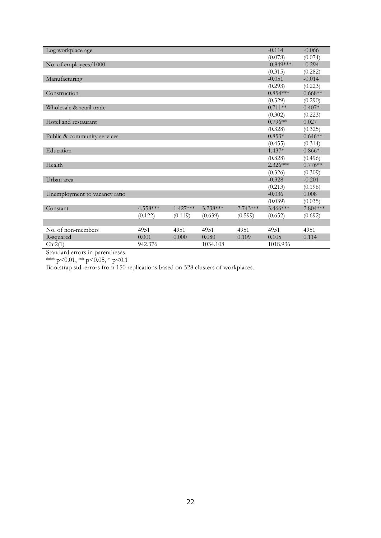| Log workplace age             |          |            |            |            | $-0.114$    | $-0.066$  |
|-------------------------------|----------|------------|------------|------------|-------------|-----------|
|                               |          |            |            |            | (0.078)     | (0.074)   |
| No. of employees/1000         |          |            |            |            | $-0.849***$ | $-0.294$  |
|                               |          |            |            |            | (0.315)     | (0.282)   |
| Manufacturing                 |          |            |            |            | $-0.051$    | $-0.014$  |
|                               |          |            |            |            | (0.293)     | (0.223)   |
| Construction                  |          |            |            |            | $0.854***$  | $0.668**$ |
|                               |          |            |            |            | (0.329)     | (0.290)   |
| Wholesale & retail trade      |          |            |            |            | $0.711**$   | $0.407*$  |
|                               |          |            |            |            | (0.302)     | (0.223)   |
| Hotel and restaurant          |          |            |            |            | $0.796**$   | 0.027     |
|                               |          |            |            |            | (0.328)     | (0.325)   |
| Public & community services   |          |            |            |            | $0.853*$    | $0.646**$ |
|                               |          |            |            |            | (0.455)     | (0.314)   |
| Education                     |          |            |            |            | $1.437*$    | $0.866*$  |
|                               |          |            |            |            | (0.828)     | (0.496)   |
| Health                        |          |            |            |            | $2.326***$  | $0.776**$ |
|                               |          |            |            |            | (0.326)     | (0.309)   |
| Urban area                    |          |            |            |            | $-0.328$    | $-0.201$  |
|                               |          |            |            |            | (0.213)     | (0.196)   |
| Unemployment to vacancy ratio |          |            |            |            | $-0.036$    | 0.008     |
|                               |          |            |            |            | (0.039)     | (0.035)   |
| Constant                      | 4.558*** | $1.427***$ | $3.238***$ | $2.743***$ | $3.466***$  | 2.804 *** |
|                               | (0.122)  | (0.119)    | (0.639)    | (0.599)    | (0.652)     | (0.692)   |
|                               |          |            |            |            |             |           |
| No. of non-members            | 4951     | 4951       | 4951       | 4951       | 4951        | 4951      |
| R-squared                     | 0.001    | 0.000      | 0.080      | 0.109      | 0.105       | 0.114     |
| Chi2(1)                       | 942.376  |            | 1034.108   |            | 1018.936    |           |

\*\*\* p<0.01, \*\* p<0.05, \* p<0.1

Bootstrap std. errors from 150 replications based on 528 clusters of workplaces.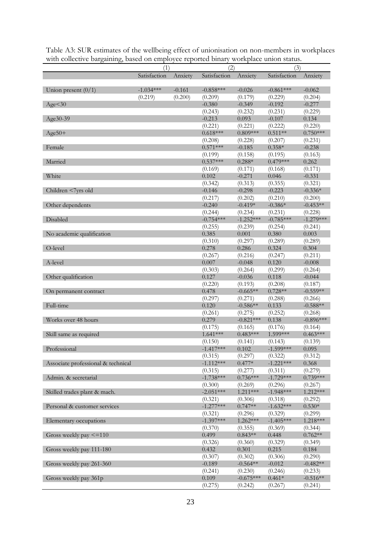| мин сонссите вагданинд, вазси он сигрютсе героисси вниму монкрасс инон заатаз. | (1)          |          | (2)                    |             | (3)          |             |
|--------------------------------------------------------------------------------|--------------|----------|------------------------|-------------|--------------|-------------|
|                                                                                | Satisfaction | Anxiety  | Satisfaction           | Anxiety     | Satisfaction | Anxiety     |
| Union present $(0/1)$                                                          | $-1.034***$  | $-0.161$ | $-0.858***$            | $-0.026$    | $-0.861***$  | $-0.062$    |
|                                                                                | (0.219)      | (0.200)  | (0.209)                | (0.179)     | (0.229)      | (0.204)     |
| Age < 30                                                                       |              |          | $-0.380$               | $-0.349$    | $-0.192$     | $-0.277$    |
|                                                                                |              |          | (0.243)                | (0.232)     | (0.231)      | (0.229)     |
| Age30-39                                                                       |              |          | $-0.213$               | 0.093       | $-0.107$     | 0.134       |
|                                                                                |              |          | (0.221)                | (0.221)     | (0.222)      | (0.220)     |
| $Age50+$                                                                       |              |          | $0.618***$             | $0.809***$  | $0.511**$    | $0.750***$  |
|                                                                                |              |          | (0.208)                | (0.228)     | (0.207)      | (0.231)     |
| Female                                                                         |              |          | $0.571***$             | $-0.185$    | $0.358*$     | $-0.238$    |
|                                                                                |              |          | (0.199)                | (0.158)     | (0.195)      | (0.163)     |
| Married                                                                        |              |          | $0.537***$             | $0.288*$    | $0.479***$   | 0.262       |
|                                                                                |              |          | (0.169)                | (0.171)     | (0.168)      | (0.171)     |
| White                                                                          |              |          | 0.102                  | $-0.271$    | 0.046        | $-0.331$    |
|                                                                                |              |          | (0.342)                | (0.313)     | (0.355)      | (0.321)     |
| Children <7yrs old                                                             |              |          | $-0.146$               | $-0.298$    | $-0.223$     | $-0.336*$   |
|                                                                                |              |          | (0.217)                | (0.202)     | (0.210)      | (0.200)     |
| Other dependents                                                               |              |          | $-0.240$               | $-0.419*$   | $-0.386*$    | $-0.453**$  |
|                                                                                |              |          | (0.244)                | (0.234)     | (0.231)      | (0.228)     |
| Disabled                                                                       |              |          | $-0.754***$            | $-1.252***$ | $-0.785***$  | $-1.279***$ |
|                                                                                |              |          | (0.255)                | (0.239)     | (0.254)      | (0.241)     |
| No academic qualification                                                      |              |          | 0.385                  | 0.001       | 0.380        | 0.003       |
|                                                                                |              |          | (0.310)                | (0.297)     | (0.289)      | (0.289)     |
| O-level                                                                        |              |          | 0.278                  | 0.286       | 0.324        | 0.304       |
|                                                                                |              |          | (0.267)                | (0.216)     | (0.247)      | (0.211)     |
| A-level                                                                        |              |          | 0.007                  | $-0.048$    | 0.120        | $-0.008$    |
|                                                                                |              |          | (0.303)                | (0.264)     | (0.299)      | (0.264)     |
| Other qualification                                                            |              |          | 0.127                  | $-0.036$    | 0.118        | $-0.044$    |
|                                                                                |              |          | (0.220)                | (0.193)     | (0.208)      | (0.187)     |
| On permanent contract                                                          |              |          | 0.478                  | $-0.665**$  | $0.728**$    | $-0.559**$  |
|                                                                                |              |          | (0.297)                | (0.271)     | (0.288)      | (0.266)     |
| Full-time                                                                      |              |          | 0.120                  | $-0.586**$  | 0.133        | $-0.588**$  |
|                                                                                |              |          | (0.261)                | (0.275)     | (0.252)      | (0.268)     |
| Works over 48 hours                                                            |              |          | 0.279                  | $-0.821***$ | 0.138        | $-0.896***$ |
|                                                                                |              |          | (0.175)                | (0.165)     | (0.176)      | (0.164)     |
| Skill same as required                                                         |              |          | $1.641***$             | $0.483***$  | 1.599***     | $0.463***$  |
|                                                                                |              |          | (0.150)                | (0.141)     | (0.143)      | (0.139)     |
| Professional                                                                   |              |          | $-1.41$ <sup>***</sup> | 0.102       | -1.599***    | 0.095       |
|                                                                                |              |          | (0.315)                | (0.297)     | (0.322)      | (0.312)     |
| Associate professional & technical                                             |              |          | $-1.112***$            | $0.477*$    | $-1.221***$  | 0.368       |
|                                                                                |              |          | (0.315)                | (0.277)     | (0.311)      | (0.279)     |
| Admin. & secretarial                                                           |              |          | $-1.738***$            | $0.736***$  | $-1.729***$  | $0.739***$  |
|                                                                                |              |          | (0.300)                | (0.269)     | (0.296)      | (0.267)     |
| Skilled trades plant & mach.                                                   |              |          | $-2.051***$            | 1.211***    | $-1.948***$  | 1.212***    |
|                                                                                |              |          | (0.321)                | (0.306)     | (0.318)      | (0.292)     |
| Personal & customer services                                                   |              |          | $-1.277***$            | $0.747**$   | $-1.632***$  | $0.530*$    |
|                                                                                |              |          | (0.321)                | (0.296)     | (0.329)      | (0.299)     |
| Elementary occupations                                                         |              |          | $-1.397***$            | 1.262***    | $-1.405***$  | 1.218***    |
|                                                                                |              |          | (0.370)                | (0.355)     | (0.369)      | (0.344)     |
| Gross weekly pay $\leq$ =110                                                   |              |          | 0.499                  | $0.843**$   | 0.448        | $0.762**$   |
|                                                                                |              |          | (0.326)                | (0.360)     | (0.329)      | (0.349)     |
| Gross weekly pay 111-180                                                       |              |          | 0.432                  | 0.301       | 0.215        | 0.184       |
|                                                                                |              |          | (0.307)                | (0.302)     | (0.306)      | (0.290)     |
| Gross weekly pay 261-360                                                       |              |          | $-0.189$               | $-0.564**$  | $-0.012$     | $-0.482**$  |
|                                                                                |              |          | (0.241)                | (0.230)     | (0.246)      | (0.233)     |
| Gross weekly pay 361p                                                          |              |          | 0.109                  | $-0.675***$ | $0.461*$     | $-0.516**$  |
|                                                                                |              |          | (0.275)                | (0.242)     | (0.267)      | (0.241)     |

Table A3: SUR estimates of the wellbeing effect of unionisation on non-members in workplaces with collective bargaining, based on employee reported binary workplace union status.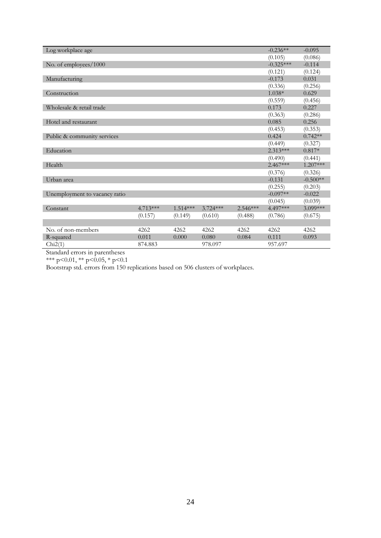| Log workplace age             |            |            |            |            | $-0.236**$  | $-0.095$   |
|-------------------------------|------------|------------|------------|------------|-------------|------------|
|                               |            |            |            |            | (0.105)     | (0.086)    |
| No. of employees/1000         |            |            |            |            | $-0.325***$ | $-0.114$   |
|                               |            |            |            |            | (0.121)     | (0.124)    |
| Manufacturing                 |            |            |            |            | $-0.173$    | 0.031      |
|                               |            |            |            |            | (0.336)     | (0.256)    |
| Construction                  |            |            |            |            | $1.038*$    | 0.629      |
|                               |            |            |            |            | (0.559)     | (0.456)    |
| Wholesale & retail trade      |            |            |            |            | 0.173       | 0.227      |
|                               |            |            |            |            | (0.363)     | (0.286)    |
| Hotel and restaurant          |            |            |            |            | 0.085       | 0.256      |
|                               |            |            |            |            | (0.453)     | (0.353)    |
| Public & community services   |            |            |            |            | 0.424       | $0.742**$  |
|                               |            |            |            |            | (0.449)     | (0.327)    |
| Education                     |            |            |            |            | $2.313***$  | $0.817*$   |
|                               |            |            |            |            | (0.490)     | (0.441)    |
| Health                        |            |            |            |            | $2.467***$  | 1.207***   |
|                               |            |            |            |            | (0.376)     | (0.326)    |
| Urban area                    |            |            |            |            | $-0.131$    | $-0.500**$ |
|                               |            |            |            |            | (0.255)     | (0.203)    |
| Unemployment to vacancy ratio |            |            |            |            | $-0.097**$  | $-0.022$   |
|                               |            |            |            |            | (0.045)     | (0.039)    |
| Constant                      | $4.713***$ | $1.514***$ | $3.724***$ | $2.546***$ | 4.497***    | 3.099***   |
|                               | (0.157)    | (0.149)    | (0.610)    | (0.488)    | (0.786)     | (0.675)    |
|                               |            |            |            |            |             |            |
| No. of non-members            | 4262       | 4262       | 4262       | 4262       | 4262        | 4262       |
| R-squared                     | 0.011      | 0.000      | 0.080      | 0.084      | 0.111       | 0.093      |
| Chi2(1)                       | 874.883    |            | 978.097    |            | 957.697     |            |

\*\*\* p<0.01, \*\* p<0.05, \* p<0.1

Bootstrap std. errors from 150 replications based on 506 clusters of workplaces.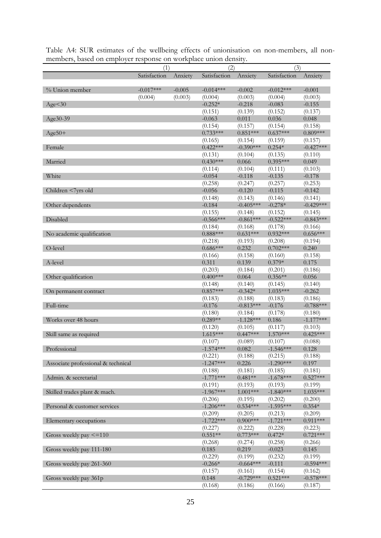| based on employer response on workplace amon density. | (1)          | (3)      |                     |             |              |             |
|-------------------------------------------------------|--------------|----------|---------------------|-------------|--------------|-------------|
|                                                       | Satisfaction | Anxiety  | (2)<br>Satisfaction | Anxiety     | Satisfaction | Anxiety     |
|                                                       |              |          |                     |             |              |             |
| % Union member                                        | $-0.017***$  | $-0.005$ | $-0.014***$         | $-0.002$    | $-0.012***$  | $-0.001$    |
|                                                       | (0.004)      | (0.003)  | (0.004)             | (0.003)     | (0.004)      | (0.003)     |
| Age < 30                                              |              |          | $-0.252*$           | $-0.218$    | $-0.083$     | $-0.155$    |
|                                                       |              |          | (0.151)             | (0.139)     | (0.152)      | (0.137)     |
| Age30-39                                              |              |          | $-0.063$            | 0.011       | 0.036        | 0.048       |
|                                                       |              |          | (0.154)             | (0.157)     | (0.154)      | (0.158)     |
| $Age50+$                                              |              |          | $0.733***$          | $0.851***$  | $0.637***$   | $0.809***$  |
|                                                       |              |          | (0.165)             | (0.154)     | (0.159)      | (0.157)     |
| Female                                                |              |          | $0.422***$          | $-0.390***$ | $0.254*$     | $-0.427***$ |
|                                                       |              |          | (0.131)             | (0.104)     | (0.135)      | (0.110)     |
| Married                                               |              |          | $0.430***$          | 0.066       | $0.395***$   | 0.049       |
|                                                       |              |          | (0.114)             | (0.104)     | (0.111)      | (0.103)     |
| White                                                 |              |          | $-0.054$            | $-0.118$    | $-0.135$     | $-0.178$    |
|                                                       |              |          | (0.258)             | (0.247)     | (0.257)      | (0.253)     |
| Children <7yrs old                                    |              |          | $-0.056$            | $-0.120$    | $-0.115$     | $-0.142$    |
|                                                       |              |          | (0.148)             | (0.143)     | (0.146)      | (0.141)     |
| Other dependents                                      |              |          | $-0.184$            | $-0.405***$ | $-0.278*$    | $-0.429***$ |
|                                                       |              |          | (0.155)             | (0.148)     | (0.152)      | (0.145)     |
| Disabled                                              |              |          | $-0.566***$         | $-0.861***$ | $-0.522***$  | $-0.843***$ |
|                                                       |              |          | (0.184)             | (0.168)     | (0.178)      | (0.166)     |
| No academic qualification                             |              |          | $0.888***$          | $0.631***$  | $0.932***$   | $0.656***$  |
|                                                       |              |          | (0.218)             | (0.193)     | (0.208)      | (0.194)     |
| O-level                                               |              |          | $0.686***$          | 0.232       | $0.702***$   | 0.240       |
|                                                       |              |          | (0.166)             | (0.158)     | (0.160)      | (0.158)     |
| A-level                                               |              |          | 0.311               | 0.139       | $0.379*$     | 0.175       |
|                                                       |              |          | (0.203)             | (0.184)     | (0.201)      | (0.186)     |
| Other qualification                                   |              |          | $0.400***$          | 0.064       | $0.356**$    | 0.056       |
|                                                       |              |          | (0.148)             | (0.140)     | (0.145)      | (0.140)     |
| On permanent contract                                 |              |          | $0.857***$          | $-0.342*$   | $1.035***$   | $-0.262$    |
|                                                       |              |          | (0.183)             | (0.188)     | (0.183)      | (0.186)     |
| Full-time                                             |              |          | $-0.176$            | $-0.813***$ | $-0.176$     | $-0.788***$ |
|                                                       |              |          | (0.180)             | (0.184)     | (0.178)      | (0.180)     |
| Works over 48 hours                                   |              |          | $0.289**$           | $-1.128***$ | 0.186        | $-1.177***$ |
|                                                       |              |          | (0.120)             | (0.105)     | (0.117)      | (0.103)     |
| Skill same as required                                |              |          | $1.615***$          | $0.447***$  | $1.570***$   | $0.425***$  |
|                                                       |              |          | (0.107)             | (0.089)     | (0.107)      | (0.088)     |
| Professional                                          |              |          | $-1.574***$         | 0.082       | $-1.546***$  | 0.128       |
|                                                       |              |          | (0.221)             | (0.188)     | (0.215)      | (0.188)     |
| Associate professional & technical                    |              |          | $-1.247***$         | 0.226       | $-1.290***$  | 0.197       |
|                                                       |              |          | (0.188)             | (0.181)     | (0.185)      | (0.181)     |
| Admin. & secretarial                                  |              |          | $-1.771***$         | $0.481**$   | $-1.678***$  | $0.527***$  |
|                                                       |              |          | (0.191)             | (0.193)     | (0.193)      | (0.199)     |
| Skilled trades plant & mach.                          |              |          | $-1.967***$         | $1.001***$  | $-1.840***$  | 1.035***    |
|                                                       |              |          | (0.206)             | (0.195)     | (0.202)      | (0.200)     |
| Personal & customer services                          |              |          | $-1.206***$         | $0.534***$  | $-1.595***$  | $0.354*$    |
|                                                       |              |          | (0.209)             | (0.205)     | (0.213)      | (0.209)     |
| Elementary occupations                                |              |          | $-1.722***$         | $0.900$ *** | $-1.721***$  | $0.911***$  |
|                                                       |              |          | (0.227)             | (0.222)     | (0.228)      | (0.223)     |
| Gross weekly pay $\leq$ = 110                         |              |          | $0.551**$           | $0.773***$  | $0.472*$     | $0.721***$  |
|                                                       |              |          | (0.268)             | (0.274)     | (0.258)      | (0.266)     |
| Gross weekly pay 111-180                              |              |          | 0.185               | 0.219       | $-0.023$     | 0.145       |
|                                                       |              |          | (0.229)             | (0.199)     | (0.232)      | (0.199)     |
| Gross weekly pay 261-360                              |              |          | $-0.266*$           | $-0.664***$ | $-0.111$     | $-0.594***$ |
|                                                       |              |          | (0.157)             | (0.161)     | (0.154)      | (0.162)     |
| Gross weekly pay 361p                                 |              |          | 0.148               | $-0.729***$ | $0.521***$   | $-0.578***$ |
|                                                       |              |          | (0.168)             | (0.186)     | (0.166)      | (0.187)     |

Table A4: SUR estimates of the wellbeing effects of unionisation on non-members, all nonmembers, based on employer response on workplace union density.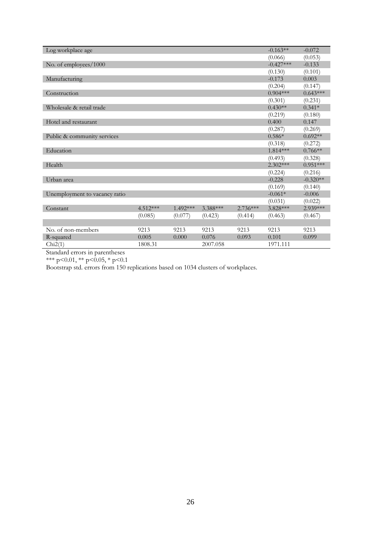| Log workplace age             |            |            |          |            | $-0.163**$  | $-0.072$   |
|-------------------------------|------------|------------|----------|------------|-------------|------------|
|                               |            |            |          |            | (0.066)     | (0.053)    |
| No. of employees/1000         |            |            |          |            | $-0.427***$ | $-0.133$   |
|                               |            |            |          |            | (0.130)     | (0.101)    |
| Manufacturing                 |            |            |          |            | $-0.173$    | 0.003      |
|                               |            |            |          |            | (0.204)     | (0.147)    |
| Construction                  |            |            |          |            | $0.904***$  | $0.643***$ |
|                               |            |            |          |            | (0.301)     | (0.231)    |
| Wholesale & retail trade      |            |            |          |            | $0.430**$   | $0.341*$   |
|                               |            |            |          |            | (0.219)     | (0.180)    |
| Hotel and restaurant          |            |            |          |            | 0.400       | 0.147      |
|                               |            |            |          |            | (0.287)     | (0.269)    |
| Public & community services   |            |            |          |            | $0.586*$    | $0.692**$  |
|                               |            |            |          |            | (0.318)     | (0.272)    |
| Education                     |            |            |          |            | $1.814***$  | $0.766**$  |
|                               |            |            |          |            | (0.493)     | (0.328)    |
| Health                        |            |            |          |            | $2.302***$  | $0.951***$ |
|                               |            |            |          |            | (0.224)     | (0.216)    |
| Urban area                    |            |            |          |            | $-0.228$    | $-0.320**$ |
|                               |            |            |          |            | (0.169)     | (0.140)    |
| Unemployment to vacancy ratio |            |            |          |            | $-0.061*$   | $-0.006$   |
|                               |            |            |          |            | (0.031)     | (0.022)    |
| Constant                      | $4.512***$ | $1.492***$ | 3.388*** | $2.736***$ | 3.828 ***   | 2.939 ***  |
|                               | (0.085)    | (0.077)    | (0.423)  | (0.414)    | (0.463)     | (0.467)    |
|                               |            |            |          |            |             |            |
| No. of non-members            | 9213       | 9213       | 9213     | 9213       | 9213        | 9213       |
| R-squared                     | 0.005      | 0.000      | 0.076    | 0.093      | 0.101       | 0.099      |
| Chi2(1)                       | 1808.31    |            | 2007.058 |            | 1971.111    |            |

\*\*\* p<0.01, \*\* p<0.05, \* p<0.1

Bootstrap std. errors from 150 replications based on 1034 clusters of workplaces.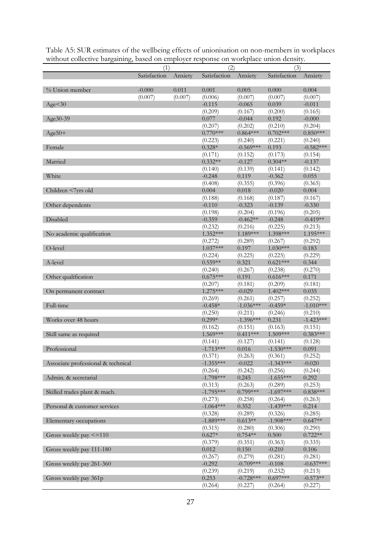| миной сонссите вагданнид, важи он спирютст гезронзе он моткрасс инон испяту. | (1)          |         | (2)                   |                  | (3)                   |                  |
|------------------------------------------------------------------------------|--------------|---------|-----------------------|------------------|-----------------------|------------------|
|                                                                              | Satisfaction | Anxiety | Satisfaction          | Anxiety          | Satisfaction          | Anxiety          |
| % Union member                                                               | $-0.000$     | 0.011   | 0.001                 | 0.005            | 0.000                 | 0.004            |
|                                                                              | (0.007)      | (0.007) | (0.006)               | (0.007)          | (0.007)               | (0.007)          |
| Age < 30                                                                     |              |         | $-0.115$              | $-0.065$         | 0.039                 | $-0.011$         |
|                                                                              |              |         | (0.209)               | (0.167)          | (0.200)               | (0.165)          |
| Age30-39                                                                     |              |         | 0.077                 | $-0.044$         | 0.192                 | $-0.000$         |
|                                                                              |              |         | (0.207)               | (0.202)          | (0.210)               | (0.204)          |
| $Age50+$                                                                     |              |         | $0.770***$            | $0.864***$       | $0.702***$            | $0.850***$       |
|                                                                              |              |         | (0.223)               | (0.240)          | (0.221)               | (0.240)          |
| Female                                                                       |              |         | $0.328*$              | $-0.569***$      | 0.193                 | $-0.582***$      |
|                                                                              |              |         | (0.171)               | (0.152)          | (0.173)               | (0.154)          |
| Married                                                                      |              |         | $0.332**$             | $-0.127$         | $0.304**$             | $-0.137$         |
|                                                                              |              |         | (0.140)               | (0.139)          | (0.141)               | (0.142)          |
| White                                                                        |              |         | $-0.248$              | 0.119            | $-0.362$              | 0.055            |
|                                                                              |              |         | (0.408)               | (0.355)          | (0.396)               | (0.365)          |
| Children <7yrs old                                                           |              |         | 0.004                 | 0.018            | $-0.020$              | 0.004            |
|                                                                              |              |         | (0.188)               | (0.168)          | (0.187)               | (0.167)          |
| Other dependents                                                             |              |         | $-0.110$              | $-0.323$         | $-0.139$              | $-0.330$         |
|                                                                              |              |         | (0.198)               | (0.204)          | (0.196)               | (0.205)          |
| Disabled                                                                     |              |         | $-0.359$              | $-0.462**$       | $-0.248$              | $-0.419**$       |
|                                                                              |              |         | (0.232)               | (0.216)          | (0.225)               | (0.213)          |
| No academic qualification                                                    |              |         | 1.352***              | 1.189***         | 1.398***              | 1.195***         |
|                                                                              |              |         | (0.272)<br>$1.037***$ | (0.289)          | (0.267)               | (0.292)          |
| O-level                                                                      |              |         |                       | 0.197            | $1.030***$            | 0.183            |
| A-level                                                                      |              |         | (0.224)<br>$0.559**$  | (0.225)<br>0.321 | (0.225)<br>$0.621***$ | (0.229)<br>0.344 |
|                                                                              |              |         | (0.240)               | (0.267)          | (0.238)               | (0.270)          |
| Other qualification                                                          |              |         | $0.675***$            | 0.191            | $0.616***$            | 0.171            |
|                                                                              |              |         | (0.207)               | (0.181)          | (0.209)               | (0.181)          |
| On permanent contract                                                        |              |         | $1.275***$            | $-0.029$         | $1.402***$            | 0.035            |
|                                                                              |              |         | (0.269)               | (0.261)          | (0.257)               | (0.252)          |
| Full-time                                                                    |              |         | $-0.458*$             | $-1.036***$      | $-0.459*$             | $-1.010***$      |
|                                                                              |              |         | (0.250)               | (0.211)          | (0.246)               | (0.210)          |
| Works over 48 hours                                                          |              |         | $0.299*$              | $-1.396***$      | 0.231                 | $-1.423***$      |
|                                                                              |              |         | (0.162)               | (0.151)          | (0.163)               | (0.151)          |
| Skill same as required                                                       |              |         | $1.569***$            | $0.411***$       | $1.509***$            | $0.383***$       |
|                                                                              |              |         | (0.141)               | (0.127)          | (0.141)               | (0.128)          |
| Professional                                                                 |              |         | $-1.713***$           | 0.016            | $-1.530***$           | 0.091            |
|                                                                              |              |         | (0.371)               | (0.263)          | (0.361)               | (0.252)          |
| Associate professional & technical                                           |              |         | $-1.355***$           | $-0.022$         | $-1.343***$           | $-0.020$         |
|                                                                              |              |         | (0.264)               | (0.242)          | (0.256)               | (0.244)          |
| Admin. & secretarial                                                         |              |         | $-1.798***$           | 0.245            | $-1.655***$           | 0.292            |
|                                                                              |              |         | (0.313)               | (0.263)          | (0.289)               | (0.253)          |
| Skilled trades plant & mach.                                                 |              |         | $-1.795***$           | $0.799***$       | $-1.697***$           | $0.838***$       |
|                                                                              |              |         | (0.273)               | (0.258)          | (0.264)               | (0.263)          |
| Personal & customer services                                                 |              |         | $-1.064***$           | 0.352            | $-1.439***$           | 0.214            |
|                                                                              |              |         | (0.328)               | (0.289)          | (0.326)               | (0.285)          |
| Elementary occupations                                                       |              |         | $-1.889***$           | $0.613**$        | $-1.908***$           | $0.647**$        |
|                                                                              |              |         | (0.315)               | (0.280)          | (0.306)               | (0.290)          |
| Gross weekly pay $\leq$ =110                                                 |              |         | $0.627*$              | $0.754**$        | 0.500                 | $0.722**$        |
|                                                                              |              |         | (0.379)               | (0.351)          | (0.363)               | (0.335)          |
| Gross weekly pay 111-180                                                     |              |         | 0.012                 | 0.150            | $-0.210$              | 0.106            |
|                                                                              |              |         | (0.267)               | (0.279)          | (0.281)               | (0.281)          |
| Gross weekly pay 261-360                                                     |              |         | $-0.292$              | $-0.709***$      | $-0.108$              | $-0.637***$      |
|                                                                              |              |         | (0.239)               | (0.219)          | (0.232)               | (0.213)          |
| Gross weekly pay 361p                                                        |              |         | 0.253                 | $-0.728***$      | $0.697***$            | $-0.573**$       |
|                                                                              |              |         | (0.264)               | (0.227)          | (0.264)               | (0.227)          |

Table A5: SUR estimates of the wellbeing effects of unionisation on non-members in workplaces without collective bargaining, based on employer response on workplace union density.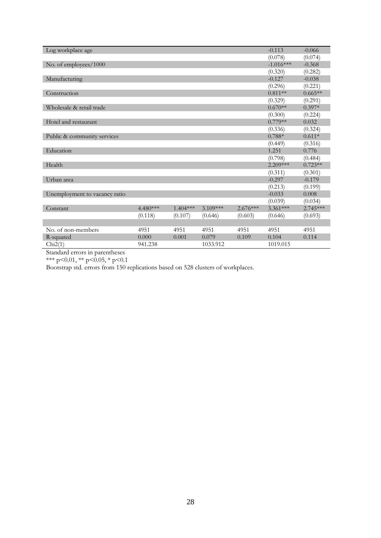| Log workplace age             |            |            |            |            | $-0.113$    | $-0.066$   |
|-------------------------------|------------|------------|------------|------------|-------------|------------|
|                               |            |            |            |            | (0.078)     | (0.074)    |
| No. of employees/1000         |            |            |            |            | $-1.016***$ | $-0.368$   |
|                               |            |            |            |            | (0.320)     | (0.282)    |
| Manufacturing                 |            |            |            |            | $-0.127$    | $-0.038$   |
|                               |            |            |            |            | (0.296)     | (0.221)    |
| Construction                  |            |            |            |            | $0.811**$   | $0.665**$  |
|                               |            |            |            |            | (0.329)     | (0.291)    |
| Wholesale & retail trade      |            |            |            |            | $0.670**$   | $0.397*$   |
|                               |            |            |            |            | (0.300)     | (0.224)    |
| Hotel and restaurant          |            |            |            |            | $0.779**$   | 0.032      |
|                               |            |            |            |            | (0.336)     | (0.324)    |
| Public & community services   |            |            |            |            | $0.788*$    | $0.611*$   |
|                               |            |            |            |            | (0.449)     | (0.316)    |
| Education                     |            |            |            |            | 1.251       | 0.776      |
|                               |            |            |            |            | (0.798)     | (0.484)    |
| Health                        |            |            |            |            | $2.209***$  | $0.723**$  |
|                               |            |            |            |            | (0.311)     | (0.301)    |
| Urban area                    |            |            |            |            | $-0.297$    | $-0.179$   |
|                               |            |            |            |            | (0.213)     | (0.199)    |
| Unemployment to vacancy ratio |            |            |            |            | $-0.033$    | 0.008      |
|                               |            |            |            |            | (0.039)     | (0.034)    |
| Constant                      | $4.480***$ | $1.404***$ | $3.109***$ | $2.676***$ | $3.361***$  | $2.745***$ |
|                               | (0.118)    | (0.107)    | (0.646)    | (0.603)    | (0.646)     | (0.693)    |
|                               |            |            |            |            |             |            |
| No. of non-members            | 4951       | 4951       | 4951       | 4951       | 4951        | 4951       |
| R-squared                     | 0.000      | 0.001      | 0.079      | 0.109      | 0.104       | 0.114      |
| Chi2(1)                       | 941.238    |            | 1033.912   |            | 1019.015    |            |

\*\*\* p<0.01, \*\* p<0.05, \* p<0.1

Bootstrap std. errors from 150 replications based on 528 clusters of workplaces.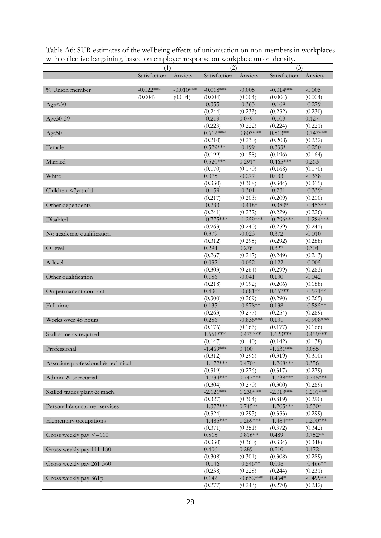| мин сонссите вагданниз, вазси он спирютст гезронзе он моткрытсе инон испяту. | (1)          |             | (2)          |             | (3)          |                     |
|------------------------------------------------------------------------------|--------------|-------------|--------------|-------------|--------------|---------------------|
|                                                                              | Satisfaction | Anxiety     | Satisfaction | Anxiety     | Satisfaction |                     |
|                                                                              |              |             |              |             |              | Anxiety             |
| % Union member                                                               | $-0.022***$  | $-0.010***$ | $-0.018***$  | $-0.005$    | $-0.014***$  |                     |
|                                                                              | (0.004)      | (0.004)     | (0.004)      | (0.004)     | (0.004)      | $-0.005$<br>(0.004) |
| Age<30                                                                       |              |             | $-0.355$     | $-0.363$    | $-0.169$     | $-0.279$            |
|                                                                              |              |             | (0.244)      | (0.233)     | (0.232)      | (0.230)             |
| Age30-39                                                                     |              |             | $-0.219$     | 0.079       | $-0.109$     | 0.127               |
|                                                                              |              |             | (0.223)      | (0.222)     | (0.224)      | (0.221)             |
| $Age50+$                                                                     |              |             | $0.612***$   | $0.803***$  | $0.513**$    | $0.747***$          |
|                                                                              |              |             | (0.210)      | (0.230)     | (0.208)      | (0.232)             |
| Female                                                                       |              |             | $0.529***$   | $-0.199$    | $0.333*$     | $-0.250$            |
|                                                                              |              |             | (0.199)      | (0.158)     | (0.196)      | (0.164)             |
| Married                                                                      |              |             | $0.520***$   | $0.291*$    | $0.465***$   | 0.263               |
|                                                                              |              |             | (0.170)      | (0.170)     | (0.168)      | (0.170)             |
| White                                                                        |              |             | 0.075        | $-0.277$    | 0.033        | $-0.338$            |
|                                                                              |              |             | (0.330)      | (0.308)     | (0.344)      | (0.315)             |
| Children <7yrs old                                                           |              |             | $-0.159$     | $-0.301$    | $-0.231$     | $-0.339*$           |
|                                                                              |              |             | (0.217)      | (0.203)     | (0.209)      | (0.200)             |
| Other dependents                                                             |              |             | $-0.233$     | $-0.418*$   | $-0.380*$    | $-0.453**$          |
|                                                                              |              |             | (0.241)      | (0.232)     | (0.229)      | (0.226)             |
| Disabled                                                                     |              |             | $-0.775***$  | $-1.259***$ | $-0.796***$  | $-1.284***$         |
|                                                                              |              |             | (0.263)      | (0.240)     | (0.259)      | (0.241)             |
| No academic qualification                                                    |              |             | 0.379        | $-0.023$    | 0.372        | $-0.010$            |
|                                                                              |              |             | (0.312)      | (0.295)     | (0.292)      | (0.288)             |
| O-level                                                                      |              |             | 0.294        | 0.276       | 0.327        | 0.304               |
|                                                                              |              |             | (0.267)      | (0.217)     | (0.249)      | (0.213)             |
| A-level                                                                      |              |             | 0.032        | $-0.052$    | 0.122        | $-0.005$            |
|                                                                              |              |             | (0.303)      | (0.264)     | (0.299)      | (0.263)             |
| Other qualification                                                          |              |             | 0.156        | $-0.041$    | 0.130        | $-0.042$            |
|                                                                              |              |             | (0.218)      | (0.192)     | (0.206)      | (0.188)             |
| On permanent contract                                                        |              |             | 0.430        | $-0.681**$  | $0.667**$    | $-0.571**$          |
|                                                                              |              |             | (0.300)      | (0.269)     | (0.290)      | (0.265)             |
| Full-time                                                                    |              |             | 0.135        | $-0.578**$  | 0.138        | $-0.585**$          |
|                                                                              |              |             | (0.263)      | (0.277)     | (0.254)      | (0.269)             |
| Works over 48 hours                                                          |              |             | 0.256        | $-0.836***$ | 0.131        | $-0.908$ ***        |
|                                                                              |              |             | (0.176)      | (0.166)     | (0.177)      | (0.166)             |
| Skill same as required                                                       |              |             | $1.661***$   | $0.475***$  | $1.623***$   | $0.459***$          |
|                                                                              |              |             | (0.147)      | (0.140)     | (0.142)      | (0.138)             |
| Professional                                                                 |              |             | -1.469***    | 0.100       | $-1.631***$  | 0.085               |
|                                                                              |              |             | (0.312)      | (0.296)     | (0.319)      | (0.310)             |
| Associate professional & technical                                           |              |             | $-1.172***$  | $0.470*$    | $-1.268***$  | 0.356               |
|                                                                              |              |             | (0.319)      | (0.276)     | (0.317)      | (0.279)             |
| Admin. & secretarial                                                         |              |             | $-1.734***$  | $0.747***$  | $-1.738***$  | $0.745***$          |
|                                                                              |              |             | (0.304)      | (0.270)     | (0.300)      | (0.269)             |
| Skilled trades plant & mach.                                                 |              |             | $-2.121***$  | $1.230***$  | $-2.013***$  | $1.201***$          |
|                                                                              |              |             | (0.327)      | (0.304)     | (0.319)      | (0.290)             |
| Personal & customer services                                                 |              |             | $-1.377***$  | $0.745**$   | $-1.705***$  | $0.530*$            |
|                                                                              |              |             | (0.324)      | (0.295)     | (0.333)      | (0.299)             |
| Elementary occupations                                                       |              |             | $-1.485***$  | 1.269***    | $-1.484***$  | $1.200***$          |
|                                                                              |              |             | (0.371)      | (0.351)     | (0.372)      | (0.342)             |
| Gross weekly pay <= 110                                                      |              |             | 0.515        | $0.816**$   | 0.489        | $0.752**$           |
|                                                                              |              |             | (0.330)      | (0.360)     | (0.334)      | (0.348)             |
| Gross weekly pay 111-180                                                     |              |             | 0.406        | 0.289       | 0.210        | 0.172               |
|                                                                              |              |             | (0.308)      | (0.301)     | (0.308)      | (0.289)             |
| Gross weekly pay 261-360                                                     |              |             | $-0.146$     | $-0.546**$  | 0.008        | $-0.466**$          |
|                                                                              |              |             | (0.238)      | (0.228)     | (0.244)      | (0.231)             |
| Gross weekly pay 361p                                                        |              |             | 0.142        | $-0.652***$ | $0.464*$     | $-0.499**$          |
|                                                                              |              |             | (0.277)      | (0.243)     | (0.270)      | (0.242)             |

Table A6: SUR estimates of the wellbeing effects of unionisation on non-members in workplaces with collective bargaining, based on employer response on workplace union density.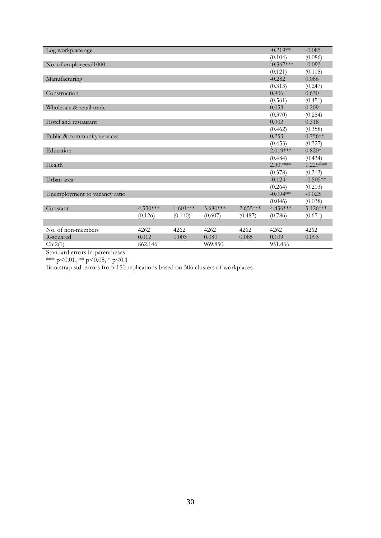| Log workplace age             |            |            |            |            | $-0.219**$  | $-0.085$   |
|-------------------------------|------------|------------|------------|------------|-------------|------------|
|                               |            |            |            |            | (0.104)     | (0.086)    |
| No. of employees/1000         |            |            |            |            | $-0.367***$ | $-0.093$   |
|                               |            |            |            |            | (0.121)     | (0.118)    |
| Manufacturing                 |            |            |            |            | $-0.282$    | 0.086      |
|                               |            |            |            |            | (0.313)     | (0.247)    |
| Construction                  |            |            |            |            | 0.906       | 0.630      |
|                               |            |            |            |            | (0.561)     | (0.451)    |
| Wholesale & retail trade      |            |            |            |            | 0.053       | 0.209      |
|                               |            |            |            |            | (0.370)     | (0.284)    |
| Hotel and restaurant          |            |            |            |            | 0.003       | 0.318      |
|                               |            |            |            |            | (0.462)     | (0.358)    |
| Public & community services   |            |            |            |            | 0.253       | $0.756**$  |
|                               |            |            |            |            | (0.453)     | (0.327)    |
| Education                     |            |            |            |            | $2.019***$  | $0.820*$   |
|                               |            |            |            |            | (0.484)     | (0.434)    |
| Health                        |            |            |            |            | $2.307***$  | 1.229***   |
|                               |            |            |            |            | (0.378)     | (0.313)    |
| Urban area                    |            |            |            |            | $-0.124$    | $-0.505**$ |
|                               |            |            |            |            | (0.264)     | (0.203)    |
| Unemployment to vacancy ratio |            |            |            |            | $-0.094**$  | $-0.023$   |
|                               |            |            |            |            | (0.046)     | (0.038)    |
| Constant                      | $4.530***$ | $1.601***$ | $3.680***$ | $2.655***$ | 4.436***    | $3.126***$ |
|                               | (0.126)    | (0.110)    | (0.607)    | (0.487)    | (0.786)     | (0.671)    |
|                               |            |            |            |            |             |            |
| No. of non-members            | 4262       | 4262       | 4262       | 4262       | 4262        | 4262       |
| R-squared                     | 0.012      | 0.003      | 0.080      | 0.085      | 0.109       | 0.093      |
| Chi2(1)                       | 862.146    |            | 969.850    |            | 951.466     |            |
|                               |            |            |            |            |             |            |

\*\*\* p<0.01, \*\* p<0.05, \* p<0.1

Bootstrap std. errors from 150 replications based on 506 clusters of workplaces.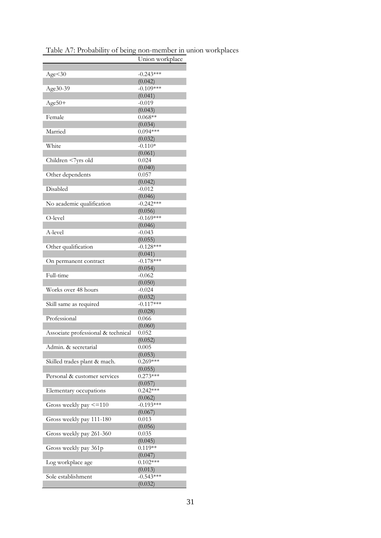| Table A7: Probability of being non-member in union workplaces |  |  |
|---------------------------------------------------------------|--|--|
|                                                               |  |  |

|                                    | Union workplace        |
|------------------------------------|------------------------|
|                                    |                        |
| Age < 30                           | $-0.243***$            |
|                                    | (0.042)                |
| Age30-39                           | $-0.109***$            |
|                                    | (0.041)                |
| $Age50+$                           | $-0.019$               |
|                                    | (0.043)                |
| Female                             | $0.068**$              |
|                                    | (0.034)                |
| Married                            | $0.094***$             |
|                                    | (0.032)                |
| White                              | $-0.110*$              |
|                                    | (0.061)                |
| Children <7yrs old                 | 0.024                  |
|                                    | (0.040)                |
| Other dependents                   | 0.057                  |
|                                    | (0.042)                |
| Disabled                           | $-0.012$               |
|                                    | (0.046)                |
|                                    | $-0.242***$            |
| No academic qualification          |                        |
|                                    | (0.056)<br>$-0.169***$ |
| O-level                            |                        |
|                                    | (0.046)                |
| A-level                            | $-0.043$               |
|                                    | (0.055)                |
| Other qualification                | $-0.128***$            |
|                                    | (0.041)                |
| On permanent contract              | $-0.178***$            |
|                                    | (0.054)                |
| Full-time                          | $-0.062$               |
|                                    | (0.050)                |
| Works over 48 hours                | $-0.024$               |
|                                    | (0.032)                |
| Skill same as required             | $-0.117***$            |
|                                    | (0.028)                |
| Professional                       | 0.066                  |
|                                    | (0.060)                |
| Associate professional & technical | 0.052                  |
|                                    | (0.052)                |
| Admin. & secretarial               | 0.005                  |
|                                    | (0.053)                |
| Skilled trades plant & mach.       | $0.269***$             |
|                                    | (0.055)                |
| Personal & customer services       | $0.273***$             |
|                                    | (0.057)                |
| Elementary occupations             | $0.242***$             |
|                                    | (0.062)                |
| Gross weekly pay <= 110            | $-0.193***$            |
|                                    | (0.067)                |
| Gross weekly pay 111-180           | 0.013                  |
|                                    | (0.056)                |
| Gross weekly pay 261-360           | 0.035                  |
|                                    | (0.045)                |
| Gross weekly pay 361p              | $0.119**$              |
|                                    | (0.047)                |
| Log workplace age                  | $0.102***$             |
|                                    | (0.013)                |
| Sole establishment                 | $-0.543***$            |
|                                    | (0.032)                |
|                                    |                        |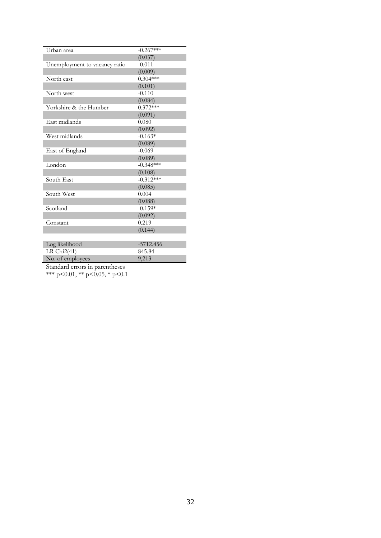| Urban area                     | $-0.267***$ |
|--------------------------------|-------------|
|                                | (0.037)     |
| Unemployment to vacancy ratio  | $-0.011$    |
|                                | (0.009)     |
| North east                     | $0.304***$  |
|                                | (0.101)     |
| North west                     | $-0.110$    |
|                                | (0.084)     |
| Yorkshire & the Humber         | $0.372***$  |
|                                | (0.091)     |
| East midlands                  | 0.080       |
|                                | (0.092)     |
| West midlands                  | $-0.163*$   |
|                                | (0.089)     |
| East of England                | $-0.069$    |
|                                | (0.089)     |
| London                         | $-0.348***$ |
|                                | (0.108)     |
| South East                     | $-0.312***$ |
|                                | (0.085)     |
| South West                     | 0.004       |
|                                | (0.088)     |
| Scotland                       | $-0.159*$   |
|                                | (0.092)     |
| Constant                       | 0.219       |
|                                | (0.144)     |
|                                |             |
| Log likelihood                 | $-5712.456$ |
| LR $Chi2(41)$                  | 845.84      |
| No. of employees               | 9,213       |
| Standard errors in parentheses |             |

\*\*\* p<0.01, \*\* p<0.05, \* p<0.1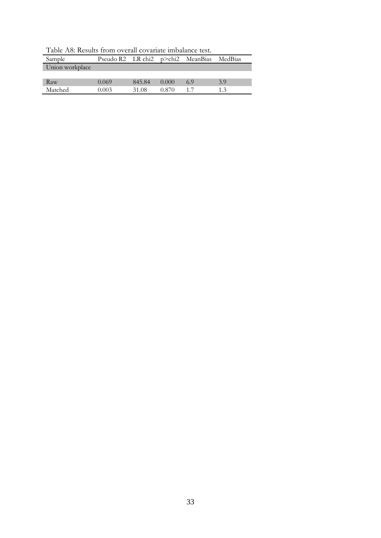| Sample          | Pseudo R2 LR chi <sub>2</sub> $p$ >chi <sub>2</sub> MeanBias |        |       |     | MedBias |
|-----------------|--------------------------------------------------------------|--------|-------|-----|---------|
| Union workplace |                                                              |        |       |     |         |
|                 |                                                              |        |       |     |         |
| Raw             | 0.069                                                        | 845.84 | 0.000 | 6.9 | 3.9     |
| Matched         | (1003)                                                       | 31.08  | 0.870 |     | 13      |

Table A8: Results from overall covariate imbalance test.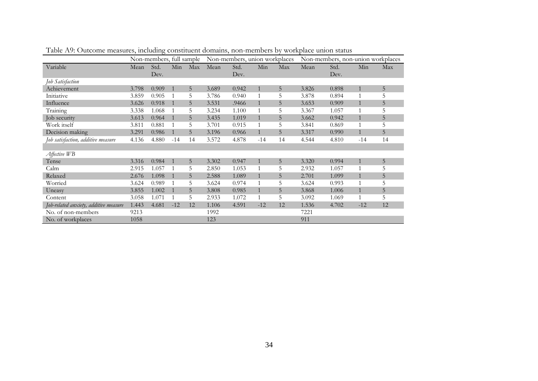|                                       |       | Non-members, full sample |       |     |       | Non-members, union workplaces |              |     |       | Non-members, non-union workplaces |       |     |
|---------------------------------------|-------|--------------------------|-------|-----|-------|-------------------------------|--------------|-----|-------|-----------------------------------|-------|-----|
| Variable                              | Mean  | Std.                     | Min   | Max | Mean  | Std.                          | Min          | Max | Mean  | Std.                              | Min   | Max |
|                                       |       | Dev.                     |       |     |       | Dev.                          |              |     |       | Dev.                              |       |     |
| Job Satisfaction                      |       |                          |       |     |       |                               |              |     |       |                                   |       |     |
| Achievement                           | 3.798 | 0.909                    |       | 5   | 3.689 | 0.942                         | $\mathbf{1}$ | 5   | 3.826 | 0.898                             |       | 5   |
| Initiative                            | 3.859 | 0.905                    |       | 5   | 3.786 | 0.940                         |              | 5   | 3.878 | 0.894                             |       | 5   |
| Influence                             | 3.626 | 0.918                    |       | 5   | 3.531 | .9466                         | $\mathbf{1}$ | 5   | 3.653 | 0.909                             |       | 5   |
| Training                              | 3.338 | 1.068                    |       | 5   | 3.234 | 1.100                         |              | 5   | 3.367 | 1.057                             |       | 5   |
| Job security                          | 3.613 | 0.964                    |       | 5   | 3.435 | 1.019                         |              | 5   | 3.662 | 0.942                             |       | 5   |
| Work itself                           | 3.811 | 0.881                    |       | 5   | 3.701 | 0.915                         |              | 5   | 3.841 | 0.869                             |       | 5   |
| Decision making                       | 3.291 | 0.986                    |       | 5   | 3.196 | 0.966                         | $\mathbf{1}$ | 5   | 3.317 | 0.990                             |       | 5   |
| Job satisfaction, additive measure    | 4.136 | 4.880                    | $-14$ | 14  | 3.572 | 4.878                         | $-14$        | 14  | 4.544 | 4.810                             | $-14$ | 14  |
|                                       |       |                          |       |     |       |                               |              |     |       |                                   |       |     |
| Affective WB                          |       |                          |       |     |       |                               |              |     |       |                                   |       |     |
| Tense                                 | 3.316 | 0.984                    |       | 5   | 3.302 | 0.947                         | $\mathbf{1}$ | 5   | 3.320 | 0.994                             |       | 5   |
| Calm                                  | 2.915 | 1.057                    |       | 5   | 2.850 | 1.053                         |              | 5   | 2.932 | 1.057                             |       | 5   |
| Relaxed                               | 2.676 | 1.098                    |       | 5   | 2.588 | 1.089                         | $\mathbf{1}$ | 5   | 2.701 | 1.099                             |       | 5   |
| Worried                               | 3.624 | 0.989                    |       | 5   | 3.624 | 0.974                         |              | 5   | 3.624 | 0.993                             |       | 5   |
| Uneasy                                | 3.855 | 1.002                    |       | 5   | 3.808 | 0.985                         |              | 5   | 3.868 | 1.006                             |       | 5   |
| Content                               | 3.058 | 1.071                    |       | 5   | 2.933 | 1.072                         |              | 5   | 3.092 | 1.069                             |       | 5   |
| Job-related anxiety, additive measure | 1.443 | 4.681                    | $-12$ | 12  | 1.106 | 4.591                         | $-12$        | 12  | 1.536 | 4.702                             | $-12$ | 12  |
| No. of non-members                    | 9213  |                          |       |     | 1992  |                               |              |     | 7221  |                                   |       |     |
| No. of workplaces                     | 1058  |                          |       |     | 123   |                               |              |     | 911   |                                   |       |     |

Table A9: Outcome measures, including constituent domains, non-members by workplace union status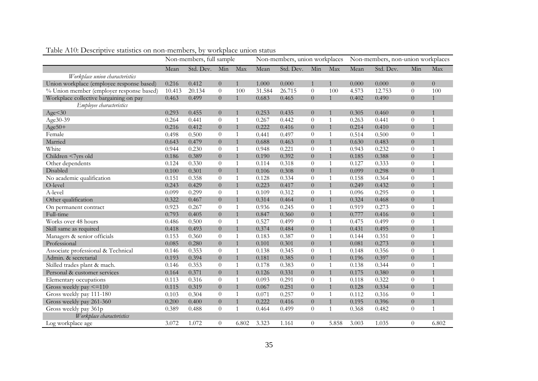|                                           | Non-members, full sample |           |                |              | Non-members, union workplaces |           |                |              | Non-members, non-union workplaces |           |                  |                |
|-------------------------------------------|--------------------------|-----------|----------------|--------------|-------------------------------|-----------|----------------|--------------|-----------------------------------|-----------|------------------|----------------|
|                                           | Mean                     | Std. Dev. | Min            | Max          | Mean                          | Std. Dev. | Min            | Max          | Mean                              | Std. Dev. | Min              | Max            |
| Workplace union characteristics           |                          |           |                |              |                               |           |                |              |                                   |           |                  |                |
| Union workplace (employee response based) | 0.216                    | 0.412     | $\overline{0}$ | $\mathbf{1}$ | 1.000                         | 0.000     | $\mathbf{1}$   | $\mathbf{1}$ | 0.000                             | 0.000     | $\overline{0}$   | $\overline{0}$ |
| % Union member (employer response based)  | 10.413                   | 20.134    | $\theta$       | 100          | 31.584                        | 26.715    | $\theta$       | 100          | 4.573                             | 12.753    | $\theta$         | 100            |
| Workplace collective bargaining on pay    | 0.463                    | 0.499     | $\overline{0}$ | $\mathbf{1}$ | 0.683                         | 0.465     | $\overline{0}$ | $\mathbf{1}$ | 0.402                             | 0.490     | $\overline{0}$   | $\mathbf{1}$   |
| Employee characteristics                  |                          |           |                |              |                               |           |                |              |                                   |           |                  |                |
| Age < 30                                  | 0.293                    | 0.455     | $\overline{0}$ | $\mathbf{1}$ | 0.253                         | 0.435     | $\overline{0}$ | $\mathbf{1}$ | 0.305                             | 0.460     | $\overline{0}$   | 1              |
| Age30-39                                  | 0.264                    | 0.441     | $\theta$       | $\mathbf{1}$ | 0.267                         | 0.442     | $\theta$       | 1            | 0.263                             | 0.441     | $\theta$         | $\mathbf 1$    |
| Age50+                                    | 0.216                    | 0.412     | $\overline{0}$ | $\mathbf{1}$ | 0.222                         | 0.416     | $\overline{0}$ | $\mathbf{1}$ | 0.214                             | 0.410     | $\overline{0}$   | $\mathbf{1}$   |
| Female                                    | 0.498                    | 0.500     | $\theta$       | $\mathbf{1}$ | 0.441                         | 0.497     | $\theta$       | $\mathbf{1}$ | 0.514                             | 0.500     | $\theta$         | $\mathbf{1}$   |
| Married                                   | 0.643                    | 0.479     | $\overline{0}$ | $\mathbf{1}$ | 0.688                         | 0.463     | $\overline{0}$ | $\mathbf{1}$ | 0.630                             | 0.483     | $\overline{0}$   | $\mathbf{1}$   |
| White                                     | 0.944                    | 0.230     | $\theta$       | $\mathbf{1}$ | 0.948                         | 0.221     | $\theta$       | $\mathbf{1}$ | 0.943                             | 0.232     | $\theta$         | $\mathbf{1}$   |
| Children <7yrs old                        | 0.186                    | 0.389     | $\overline{0}$ | $\mathbf{1}$ | 0.190                         | 0.392     | $\overline{0}$ | $\mathbf{1}$ | 0.185                             | 0.388     | $\boldsymbol{0}$ | $\mathbf{1}$   |
| Other dependents                          | 0.124                    | 0.330     | $\theta$       | 1            | 0.114                         | 0.318     | $\theta$       | $\mathbf{1}$ | 0.127                             | 0.333     | $\theta$         | $\mathbf 1$    |
| Disabled                                  | 0.100                    | 0.301     | $\overline{0}$ | $\mathbf{1}$ | 0.106                         | 0.308     | $\overline{0}$ | $\mathbf{1}$ | 0.099                             | 0.298     | $\overline{0}$   | $\overline{1}$ |
| No academic qualification                 | 0.151                    | 0.358     | $\theta$       | $\mathbf{1}$ | 0.128                         | 0.334     | $\theta$       | 1            | 0.158                             | 0.364     | $\overline{0}$   | $\mathbf{1}$   |
| O-level                                   | 0.243                    | 0.429     | $\overline{0}$ | $\mathbf{1}$ | 0.223                         | 0.417     | $\overline{0}$ | $\mathbf{1}$ | 0.249                             | 0.432     | $\overline{0}$   | $\mathbf{1}$   |
| A-level                                   | 0.099                    | 0.299     | $\theta$       | $\mathbf{1}$ | 0.109                         | 0.312     | $\theta$       | $\mathbf{1}$ | 0.096                             | 0.295     | $\theta$         | $\mathbf{1}$   |
| Other qualification                       | 0.322                    | 0.467     | $\overline{0}$ | $\mathbf{1}$ | 0.314                         | 0.464     | $\overline{0}$ | $\mathbf{1}$ | 0.324                             | 0.468     | $\overline{0}$   | $\mathbf{1}$   |
| On permanent contract                     | 0.923                    | 0.267     | $\overline{0}$ | $\mathbf{1}$ | 0.936                         | 0.245     | $\theta$       | $\mathbf{1}$ | 0.919                             | 0.273     | $\theta$         | $\mathbf{1}$   |
| Full-time                                 | 0.793                    | 0.405     | $\overline{0}$ | $\mathbf{1}$ | 0.847                         | 0.360     | $\overline{0}$ | $\mathbf{1}$ | 0.777                             | 0.416     | $\overline{0}$   | $\mathbf{1}$   |
| Works over 48 hours                       | 0.486                    | 0.500     | $\overline{0}$ | $\mathbf{1}$ | 0.527                         | 0.499     | $\theta$       | $\mathbf{1}$ | 0.475                             | 0.499     | $\theta$         | $\mathbf{1}$   |
| Skill same as required                    | 0.418                    | 0.493     | $\overline{0}$ | $\mathbf{1}$ | 0.374                         | 0.484     | $\overline{0}$ | $\mathbf{1}$ | 0.431                             | 0.495     | $\overline{0}$   | $\mathbf{1}$   |
| Managers & senior officials               | 0.153                    | 0.360     | $\overline{0}$ | $\mathbf{1}$ | 0.183                         | 0.387     | $\theta$       | $\mathbf{1}$ | 0.144                             | 0.351     | $\theta$         | $\mathbf{1}$   |
| Professional                              | 0.085                    | 0.280     | $\overline{0}$ | $\mathbf{1}$ | 0.101                         | 0.301     | $\overline{0}$ | $\mathbf{1}$ | 0.081                             | 0.273     | $\overline{0}$   | $\mathbf{1}$   |
| Associate professional & Technical        | 0.146                    | 0.353     | $\theta$       | $\mathbf{1}$ | 0.138                         | 0.345     | $\theta$       | $\mathbf{1}$ | 0.148                             | 0.356     | $\theta$         | $\mathbf{1}$   |
| Admin. & secretarial                      | 0.193                    | 0.394     | $\overline{0}$ | $\mathbf{1}$ | 0.181                         | 0.385     | $\overline{0}$ | $\mathbf{1}$ | 0.196                             | 0.397     | $\overline{0}$   | $\mathbf{1}$   |
| Skilled trades plant & mach.              | 0.146                    | 0.353     | $\overline{0}$ | $\mathbf{1}$ | 0.178                         | 0.383     | $\theta$       | $\mathbf{1}$ | 0.138                             | 0.344     | $\theta$         | $\mathbf{1}$   |
| Personal & customer services              | 0.164                    | 0.371     | $\overline{0}$ | $\mathbf{1}$ | 0.126                         | 0.331     | $\overline{0}$ | $\mathbf{1}$ | 0.175                             | 0.380     | $\overline{0}$   | $\mathbf{1}$   |
| Elementary occupations                    | 0.113                    | 0.316     | $\overline{0}$ | $\mathbf{1}$ | 0.093                         | 0.291     | $\theta$       | $\mathbf{1}$ | 0.118                             | 0.322     | $\theta$         | $\mathbf{1}$   |
| Gross weekly pay <= 110                   | 0.115                    | 0.319     | $\overline{0}$ | $\mathbf{1}$ | 0.067                         | 0.251     | $\overline{0}$ | $\mathbf{1}$ | 0.128                             | 0.334     | $\overline{0}$   | $\mathbf{1}$   |
| Gross weekly pay 111-180                  | 0.103                    | 0.304     | $\overline{0}$ | $\mathbf{1}$ | 0.071                         | 0.257     | $\theta$       | 1            | 0.112                             | 0.316     | $\theta$         | $\mathbf{1}$   |
| Gross weekly pay 261-360                  | 0.200                    | 0.400     | $\overline{0}$ | $\mathbf{1}$ | 0.222                         | 0.416     | $\overline{0}$ | $\mathbf{1}$ | 0.195                             | 0.396     | $\overline{0}$   | $\mathbf{1}$   |
| Gross weekly pay 361p                     | 0.389                    | 0.488     | $\overline{0}$ | $\mathbf{1}$ | 0.464                         | 0.499     | $\theta$       | $\mathbf{1}$ | 0.368                             | 0.482     | $\theta$         | $\mathbf{1}$   |
| Workplace characteristics                 |                          |           |                |              |                               |           |                |              |                                   |           |                  |                |
| Log workplace age                         | 3.072                    | 1.072     | $\overline{0}$ | 6.802        | 3.323                         | 1.161     | $\theta$       | 5.858        | 3.003                             | 1.035     | $\overline{0}$   | 6.802          |

Table A10: Descriptive statistics on non-members, by workplace union status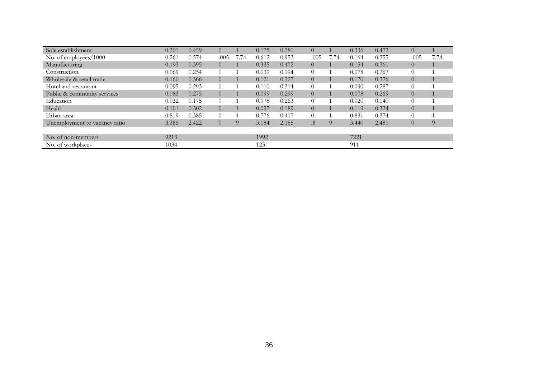| Sole establishment            | 0.301 | 0.459 | $\overline{0}$ |      | 0.175 | 0.380 | $\overline{0}$ |      | 0.336 | 0.472 | 0              |      |
|-------------------------------|-------|-------|----------------|------|-------|-------|----------------|------|-------|-------|----------------|------|
| No. of employees/1000         | 0.261 | 0.574 | .005           | 7.74 | 0.612 | 0.953 | .005           | 7.74 | 0.164 | 0.355 | .005           | 7.74 |
| Manufacturing                 | 0.193 | 0.395 | $\overline{0}$ |      | 0.335 | 0.472 | $\overline{0}$ |      | 0.154 | 0.361 | $\overline{0}$ |      |
| Construction                  | 0.069 | 0.254 | $\overline{0}$ |      | 0.039 | 0.194 | $\overline{0}$ |      | 0.078 | 0.267 | $\theta$       |      |
| Wholesale & retail trade      | 0.160 | 0.366 | $\overline{0}$ |      | 0.121 | 0.327 | $\Omega$       |      | 0.170 | 0.376 | $\overline{0}$ |      |
| Hotel and restaurant          | 0.095 | 0.293 | $\overline{0}$ |      | 0.110 | 0.314 | $\Omega$       |      | 0.090 | 0.287 | $\Omega$       |      |
| Public & community services   | 0.083 | 0.275 | $\overline{0}$ |      | 0.099 | 0.299 | $\overline{0}$ |      | 0.078 | 0.269 | $\overline{0}$ |      |
| Education                     | 0.032 | 0.175 | $\theta$       |      | 0.075 | 0.263 | $\Omega$       |      | 0.020 | 0.140 | $\Omega$       |      |
| Health                        | 0.101 | 0.302 | $\overline{0}$ |      | 0.037 | 0.189 | $\Omega$       |      | 0.119 | 0.324 | $\theta$       |      |
| Urban area                    | 0.819 | 0.385 | $\theta$       |      | 0.776 | 0.417 | $\Omega$       |      | 0.831 | 0.374 | $\Omega$       |      |
| Unemployment to vacancy ratio | 3.385 | 2.422 | $\overline{0}$ | 9    | 3.184 | 2.185 | .8             | 9    | 3.440 | 2.481 | $\overline{0}$ | 9    |
|                               |       |       |                |      |       |       |                |      |       |       |                |      |
| No. of non-members            | 9213  |       |                |      | 1992  |       |                |      | 7221  |       |                |      |
| No. of workplaces             | 1034  |       |                |      | 123   |       |                |      | 911   |       |                |      |